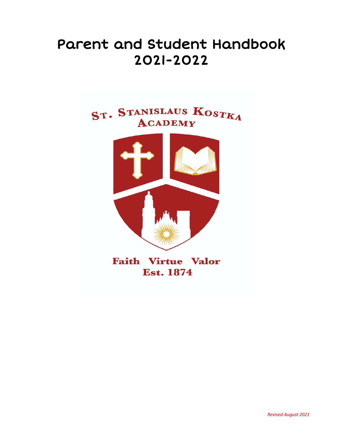# Parent and Student Handbook 2021-2022



**Faith Virtue Valor Est. 1874** 

*Revised August 2021*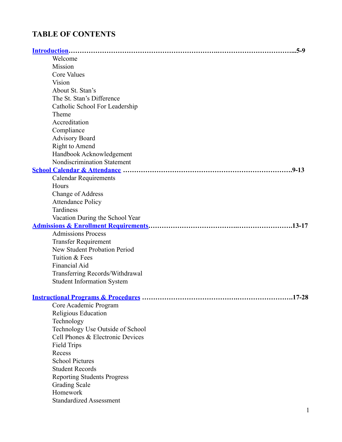# <span id="page-1-0"></span>**TABLE OF CONTENTS**

|                                     | $.5-9$ |
|-------------------------------------|--------|
| Welcome                             |        |
| Mission                             |        |
| <b>Core Values</b>                  |        |
| Vision                              |        |
| About St. Stan's                    |        |
| The St. Stan's Difference           |        |
| Catholic School For Leadership      |        |
| Theme                               |        |
| Accreditation                       |        |
| Compliance                          |        |
| <b>Advisory Board</b>               |        |
| Right to Amend                      |        |
| Handbook Acknowledgement            |        |
| Nondiscrimination Statement         |        |
|                                     |        |
| <b>Calendar Requirements</b>        |        |
| Hours                               |        |
| <b>Change of Address</b>            |        |
| <b>Attendance Policy</b>            |        |
| Tardiness                           |        |
| Vacation During the School Year     |        |
|                                     |        |
| <b>Admissions Process</b>           |        |
| <b>Transfer Requirement</b>         |        |
| <b>New Student Probation Period</b> |        |
| Tuition & Fees                      |        |
| Financial Aid                       |        |
| Transferring Records/Withdrawal     |        |
| <b>Student Information System</b>   |        |
|                                     |        |
| . 17-28                             |        |
| Core Academic Program               |        |
| Religious Education                 |        |
| Technology                          |        |
| Technology Use Outside of School    |        |
| Cell Phones & Electronic Devices    |        |
| <b>Field Trips</b>                  |        |
| Recess                              |        |
| <b>School Pictures</b>              |        |
| <b>Student Records</b>              |        |
| <b>Reporting Students Progress</b>  |        |
| <b>Grading Scale</b>                |        |
| Homework                            |        |
| <b>Standardized Assessment</b>      |        |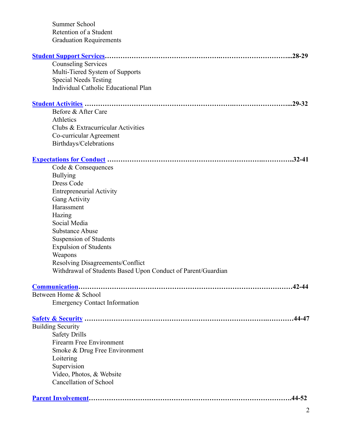| Summer School                                                |
|--------------------------------------------------------------|
| Retention of a Student                                       |
| <b>Graduation Requirements</b>                               |
| $.28 - 29$                                                   |
| <b>Counseling Services</b>                                   |
| Multi-Tiered System of Supports                              |
| <b>Special Needs Testing</b>                                 |
| <b>Individual Catholic Educational Plan</b>                  |
| $.29 - 32$                                                   |
| Before & After Care                                          |
| Athletics                                                    |
| Clubs & Extracurricular Activities                           |
| Co-curricular Agreement                                      |
| Birthdays/Celebrations                                       |
| $.32 - 41$                                                   |
| Code & Consequences                                          |
| <b>Bullying</b>                                              |
| <b>Dress Code</b>                                            |
| <b>Entrepreneurial Activity</b>                              |
| Gang Activity                                                |
| Harassment                                                   |
| Hazing                                                       |
| Social Media                                                 |
| <b>Substance Abuse</b>                                       |
| <b>Suspension of Students</b>                                |
| <b>Expulsion of Students</b>                                 |
| Weapons                                                      |
| Resolving Disagreements/Conflict                             |
| Withdrawal of Students Based Upon Conduct of Parent/Guardian |
| $.42 - 44$                                                   |
| Between Home & School                                        |
| <b>Emergency Contact Information</b>                         |
| .44-47                                                       |
| <b>Building Security</b>                                     |
| <b>Safety Drills</b>                                         |
| <b>Firearm Free Environment</b>                              |
| Smoke & Drug Free Environment                                |
| Loitering                                                    |
| Supervision                                                  |
| Video, Photos, & Website                                     |
| <b>Cancellation of School</b>                                |
| $.44 - 52$                                                   |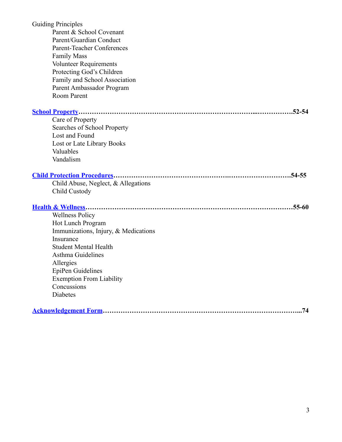| <b>Guiding Principles</b><br>Parent & School Covenant |
|-------------------------------------------------------|
| Parent/Guardian Conduct                               |
| <b>Parent-Teacher Conferences</b>                     |
| <b>Family Mass</b>                                    |
| <b>Volunteer Requirements</b>                         |
| Protecting God's Children                             |
| Family and School Association                         |
| Parent Ambassador Program                             |
| Room Parent                                           |
| $.52 - 54$                                            |
| Care of Property                                      |
| Searches of School Property                           |
| Lost and Found                                        |
| Lost or Late Library Books                            |
| Valuables                                             |
| Vandalism                                             |
|                                                       |
|                                                       |
| Child Abuse, Neglect, & Allegations                   |
| Child Custody                                         |
|                                                       |
| <b>Wellness Policy</b>                                |
| Hot Lunch Program                                     |
| Immunizations, Injury, & Medications                  |
| Insurance                                             |
| <b>Student Mental Health</b>                          |
| Asthma Guidelines                                     |
| Allergies                                             |
| EpiPen Guidelines                                     |
| <b>Exemption From Liability</b>                       |
| Concussions                                           |
| Diabetes                                              |

|--|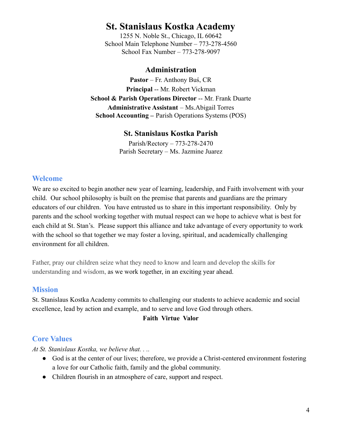# **St. Stanislaus Kostka Academy**

1255 N. Noble St., Chicago, IL 60642 School Main Telephone Number – 773-278-4560 School Fax Number – 773-278-9097

### **Administration**

**Pastor** – Fr. Anthony Buś, CR **Principal** -- Mr. Robert Vickman **School & Parish Operations Director** -- Mr. Frank Duarte **Administrative Assistant** – Ms.Abigail Torres **School Accounting –** Parish Operations Systems (POS)

# **St. Stanislaus Kostka Parish**

Parish/Rectory – 773-278-2470 Parish Secretary – Ms. Jazmine Juarez

# <span id="page-4-0"></span>**Welcome**

We are so excited to begin another new year of learning, leadership, and Faith involvement with your child. Our school philosophy is built on the premise that parents and guardians are the primary educators of our children. You have entrusted us to share in this important responsibility. Only by parents and the school working together with mutual respect can we hope to achieve what is best for each child at St. Stan's. Please support this alliance and take advantage of every opportunity to work with the school so that together we may foster a loving, spiritual, and academically challenging environment for all children.

Father, pray our children seize what they need to know and learn and develop the skills for understanding and wisdom, as we work together, in an exciting year ahead.

### **Mission**

St. Stanislaus Kostka Academy commits to challenging our students to achieve academic and social excellence, lead by action and example, and to serve and love God through others.

### **Faith Virtue Valor**

# **Core Values**

*At St. Stanislaus Kostka, we believe that. . ..*

- God is at the center of our lives; therefore, we provide a Christ-centered environment fostering a love for our Catholic faith, family and the global community.
- Children flourish in an atmosphere of care, support and respect.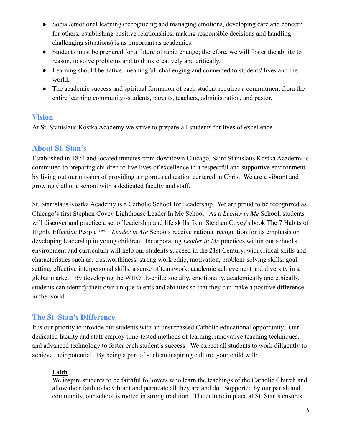- Social/emotional learning (recognizing and managing emotions, developing care and concern for others, establishing positive relationships, making responsible decisions and handling challenging situations) is as important as academics.
- Students must be prepared for a future of rapid change; therefore, we will foster the ability to reason, to solve problems and to think creatively and critically.
- Learning should be active, meaningful, challenging and connected to students' lives and the world.
- The academic success and spiritual formation of each student requires a commitment from the entire learning community--students, parents, teachers, administration, and pastor.

# **Vision**

At St. Stanislaus Kostka Academy we strive to prepare all students for lives of excellence.

# **About St. Stan's**

Established in 1874 and located minutes from downtown Chicago, Saint Stanislaus Kostka Academy is committed to preparing children to live lives of excellence in a respectful and supportive environment by living out our mission of providing a rigorous education centered in Christ. We are a vibrant and growing Catholic school with a dedicated faculty and staff.

St. Stanislaus Kostka Academy is a Catholic School for Leadership. We are proud to be recognized as Chicago's first Stephen Covey Lighthouse Leader In Me School. As a *Leader in Me* School, students will discover and practice a set of leadership and life skills from Stephen Covey's book The 7 Habits of Highly Effective People ™. *Leader in Me* Schools receive national recognition for its emphasis on developing leadership in young children. Incorporating *Leader in Me* practices within our school's environment and curriculum will help our students succeed in the 21st Century, with critical skills and characteristics such as: trustworthiness, strong work ethic, motivation, problem-solving skills, goal setting, effective interpersonal skills, a sense of teamwork, academic achievement and diversity in a global market. By developing the WHOLE-child; socially, emotionally, academically and ethically, students can identify their own unique talents and abilities so that they can make a positive difference in the world.

# **The St. Stan's Difference**

It is our priority to provide our students with an unsurpassed Catholic educational opportunity. Our dedicated faculty and staff employ time-tested methods of learning, innovative teaching techniques, and advanced technology to foster each student's success. We expect all students to work diligently to achieve their potential. By being a part of such an inspiring culture, your child will:

### **Faith**

We inspire students to be faithful followers who learn the teachings of the Catholic Church and allow their faith to be vibrant and permeate all they are and do. Supported by our parish and community, our school is rooted in strong tradition. The culture in place at St. Stan's ensures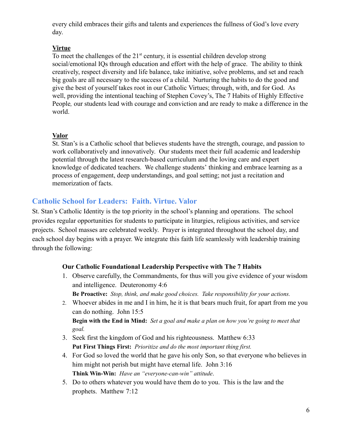every child embraces their gifts and talents and experiences the fullness of God's love every day.

#### **Virtue**

To meet the challenges of the  $21<sup>st</sup>$  century, it is essential children develop strong social/emotional IQs through education and effort with the help of grace. The ability to think creatively, respect diversity and life balance, take initiative, solve problems, and set and reach big goals are all necessary to the success of a child. Nurturing the habits to do the good and give the best of yourself takes root in our Catholic Virtues; through, with, and for God. As well, providing the intentional teaching of Stephen Covey's, The 7 Habits of Highly Effective People*,* our students lead with courage and conviction and are ready to make a difference in the world.

#### **Valor**

St. Stan's is a Catholic school that believes students have the strength, courage, and passion to work collaboratively and innovatively. Our students meet their full academic and leadership potential through the latest research-based curriculum and the loving care and expert knowledge of dedicated teachers. We challenge students' thinking and embrace learning as a process of engagement, deep understandings, and goal setting; not just a recitation and memorization of facts.

### **Catholic School for Leaders: Faith. Virtue. Valor**

St. Stan's Catholic Identity is the top priority in the school's planning and operations. The school provides regular opportunities for students to participate in liturgies, religious activities, and service projects. School masses are celebrated weekly. Prayer is integrated throughout the school day, and each school day begins with a prayer. We integrate this faith life seamlessly with leadership training through the following:

#### **Our Catholic Foundational Leadership Perspective with The 7 Habits**

- 1. Observe carefully, the Commandments, for thus will you give evidence of your wisdom and intelligence. Deuteronomy 4:6 **Be Proactive:** *Stop, think, and make good choices. Take responsibility for your actions.*
- 2. Whoever abides in me and I in him, he it is that bears much fruit, for apart from me you can do nothing. John 15:5 Begin with the End in Mind: Set a goal and make a plan on how you're going to meet that *goal.*
- 3. Seek first the kingdom of God and his righteousness. Matthew 6:33 **Put First Things First:** *Prioritize and do the most important thing first.*
- 4. For God so loved the world that he gave his only Son, so that everyone who believes in him might not perish but might have eternal life. John 3:16 **Think Win-Win:** *Have an "everyone-can-win" attitude*.
- 5. Do to others whatever you would have them do to you. This is the law and the prophets. Matthew 7:12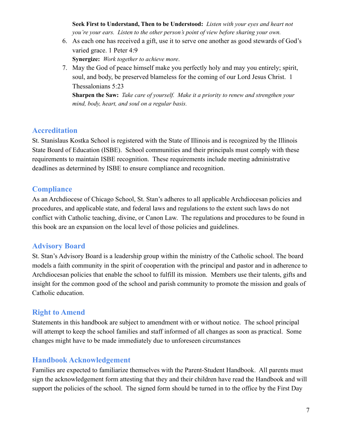**Seek First to Understand, Then to be Understood:** *Listen with your eyes and heart not you're your ears. Listen to the other person's point of view before sharing your own.*

- 6. As each one has received a gift, use it to serve one another as good stewards of God's varied grace. 1 Peter 4:9 **Synergize:** *Work together to achieve more*.
- 7. May the God of peace himself make you perfectly holy and may you entirely; spirit, soul, and body, be preserved blameless for the coming of our Lord Jesus Christ. 1 Thessalonians 5:23

**Sharpen the Saw:** *Take care of yourself. Make it a priority to renew and strengthen your mind, body, heart, and soul on a regular basis.*

### **Accreditation**

St. Stanislaus Kostka School is registered with the State of Illinois and is recognized by the Illinois State Board of Education (ISBE). School communities and their principals must comply with these requirements to maintain ISBE recognition. These requirements include meeting administrative deadlines as determined by ISBE to ensure compliance and recognition.

# **Compliance**

As an Archdiocese of Chicago School, St. Stan's adheres to all applicable Archdiocesan policies and procedures, and applicable state, and federal laws and regulations to the extent such laws do not conflict with Catholic teaching, divine, or Canon Law. The regulations and procedures to be found in this book are an expansion on the local level of those policies and guidelines.

# **Advisory Board**

St. Stan's Advisory Board is a leadership group within the ministry of the Catholic school. The board models a faith community in the spirit of cooperation with the principal and pastor and in adherence to Archdiocesan policies that enable the school to fulfill its mission. Members use their talents, gifts and insight for the common good of the school and parish community to promote the mission and goals of Catholic education.

# **Right to Amend**

Statements in this handbook are subject to amendment with or without notice. The school principal will attempt to keep the school families and staff informed of all changes as soon as practical. Some changes might have to be made immediately due to unforeseen circumstances

# **Handbook Acknowledgement**

Families are expected to familiarize themselves with the Parent-Student Handbook. All parents must sign the acknowledgement form attesting that they and their children have read the Handbook and will support the policies of the school. The signed form should be turned in to the office by the First Day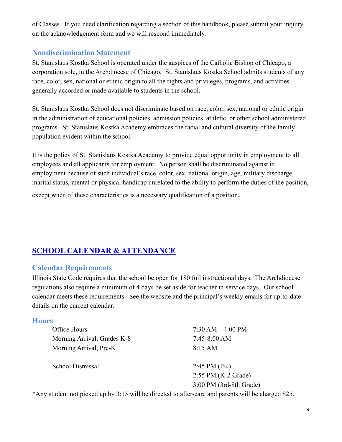of Classes. If you need clarification regarding a section of this handbook, please submit your inquiry on the acknowledgement form and we will respond immediately.

### **Nondiscrimination Statement**

St. Stanislaus Kostka School is operated under the auspices of the Catholic Bishop of Chicago, a corporation sole, in the Archdiocese of Chicago. St. Stanislaus Kostka School admits students of any race, color, sex, national or ethnic origin to all the rights and privileges, programs, and activities generally accorded or made available to students in the school.

St. Stanislaus Kostka School does not discriminate based on race, color, sex, national or ethnic origin in the administration of educational policies, admission policies, athletic, or other school administered programs. St. Stanislaus Kostka Academy embraces the racial and cultural diversity of the family population evident within the school.

It is the policy of St. Stanislaus Kostka Academy to provide equal opportunity in employment to all employees and all applicants for employment. No person shall be discriminated against in employment because of such individual's race, color, sex, national origin, age, military discharge, marital status, mental or physical handicap unrelated to the ability to perform the duties of the position, except when of these characteristics is a necessary qualification of a position.

# <span id="page-8-0"></span>**SCHOOL CALENDAR & [ATTENDANCE](#page-1-0)**

### **Calendar Requirements**

Illinois State Code requires that the school be open for 180 full instructional days. The Archdiocese regulations also require a minimum of 4 days be set aside for teacher in-service days. Our school calendar meets these requirements. See the website and the principal's weekly emails for up-to-date details on the current calendar.

### **Hours**

| $7:30 AM - 4:00 PM$     |
|-------------------------|
| $7:45-8:00 AM$          |
| $8:15 \text{ AM}$       |
|                         |
| $2:45$ PM (PK)          |
| $2:55$ PM (K-2 Grade)   |
| 3:00 PM (3rd-8th Grade) |
|                         |

\*Any student not picked up by 3:15 will be directed to after-care and parents will be charged \$25.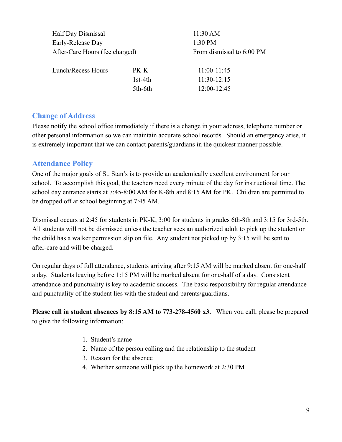| Half Day Dismissal             |           | 11:30 AM                  |
|--------------------------------|-----------|---------------------------|
| Early-Release Day              |           | 1:30 PM                   |
| After-Care Hours (fee charged) |           | From dismissal to 6:00 PM |
| Lunch/Recess Hours             | PK-K      | $11:00-11:45$             |
|                                | $1st-4th$ | $11:30-12:15$             |
|                                | 5th-6th   | 12:00-12:45               |

### **Change of Address**

Please notify the school office immediately if there is a change in your address, telephone number or other personal information so we can maintain accurate school records. Should an emergency arise, it is extremely important that we can contact parents/guardians in the quickest manner possible.

### **Attendance Policy**

One of the major goals of St. Stan's is to provide an academically excellent environment for our school. To accomplish this goal, the teachers need every minute of the day for instructional time. The school day entrance starts at 7:45-8:00 AM for K-8th and 8:15 AM for PK. Children are permitted to be dropped off at school beginning at 7:45 AM.

Dismissal occurs at 2:45 for students in PK-K, 3:00 for students in grades 6th-8th and 3:15 for 3rd-5th. All students will not be dismissed unless the teacher sees an authorized adult to pick up the student or the child has a walker permission slip on file. Any student not picked up by 3:15 will be sent to after-care and will be charged.

On regular days of full attendance, students arriving after 9:15 AM will be marked absent for one-half a day. Students leaving before 1:15 PM will be marked absent for one-half of a day. Consistent attendance and punctuality is key to academic success. The basic responsibility for regular attendance and punctuality of the student lies with the student and parents/guardians.

**Please call in student absences by 8:15 AM to 773-278-4560 x3.** When you call, please be prepared to give the following information:

- 1. Student's name
- 2. Name of the person calling and the relationship to the student
- 3. Reason for the absence
- 4. Whether someone will pick up the homework at 2:30 PM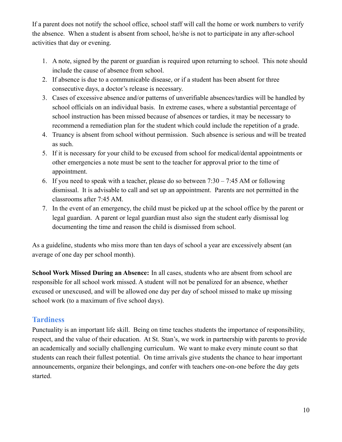If a parent does not notify the school office, school staff will call the home or work numbers to verify the absence. When a student is absent from school, he/she is not to participate in any after-school activities that day or evening.

- 1. A note, signed by the parent or guardian is required upon returning to school. This note should include the cause of absence from school.
- 2. If absence is due to a communicable disease, or if a student has been absent for three consecutive days, a doctor's release is necessary.
- 3. Cases of excessive absence and/or patterns of unverifiable absences/tardies will be handled by school officials on an individual basis. In extreme cases, where a substantial percentage of school instruction has been missed because of absences or tardies, it may be necessary to recommend a remediation plan for the student which could include the repetition of a grade.
- 4. Truancy is absent from school without permission. Such absence is serious and will be treated as such.
- 5. If it is necessary for your child to be excused from school for medical/dental appointments or other emergencies a note must be sent to the teacher for approval prior to the time of appointment.
- 6. If you need to speak with a teacher, please do so between  $7:30 7:45$  AM or following dismissal. It is advisable to call and set up an appointment. Parents are not permitted in the classrooms after 7:45 AM.
- 7. In the event of an emergency, the child must be picked up at the school office by the parent or legal guardian. A parent or legal guardian must also sign the student early dismissal log documenting the time and reason the child is dismissed from school.

As a guideline, students who miss more than ten days of school a year are excessively absent (an average of one day per school month).

**School Work Missed During an Absence:** In all cases, students who are absent from school are responsible for all school work missed. A student will not be penalized for an absence, whether excused or unexcused, and will be allowed one day per day of school missed to make up missing school work (to a maximum of five school days).

# **Tardiness**

Punctuality is an important life skill. Being on time teaches students the importance of responsibility, respect, and the value of their education. At St. Stan's, we work in partnership with parents to provide an academically and socially challenging curriculum. We want to make every minute count so that students can reach their fullest potential. On time arrivals give students the chance to hear important announcements, organize their belongings, and confer with teachers one-on-one before the day gets started.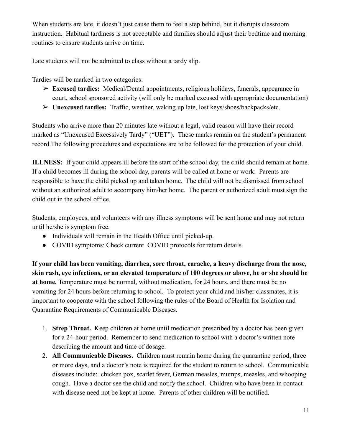When students are late, it doesn't just cause them to feel a step behind, but it disrupts classroom instruction. Habitual tardiness is not acceptable and families should adjust their bedtime and morning routines to ensure students arrive on time.

Late students will not be admitted to class without a tardy slip.

Tardies will be marked in two categories:

- ➢ **Excused tardies:** Medical/Dental appointments, religious holidays, funerals, appearance in court, school sponsored activity (will only be marked excused with appropriate documentation)
- ➢ **Unexcused tardies:** Traffic, weather, waking up late, lost keys/shoes/backpacks/etc.

Students who arrive more than 20 minutes late without a legal, valid reason will have their record marked as "Unexcused Excessively Tardy" ("UET"). These marks remain on the student's permanent record.The following procedures and expectations are to be followed for the protection of your child.

**ILLNESS:** If your child appears ill before the start of the school day, the child should remain at home. If a child becomes ill during the school day, parents will be called at home or work. Parents are responsible to have the child picked up and taken home. The child will not be dismissed from school without an authorized adult to accompany him/her home. The parent or authorized adult must sign the child out in the school office.

Students, employees, and volunteers with any illness symptoms will be sent home and may not return until he/she is symptom free.

- Individuals will remain in the Health Office until picked-up.
- COVID symptoms: Check current COVID protocols for return details.

**If your child has been vomiting, diarrhea, sore throat, earache, a heavy discharge from the nose, skin rash, eye infections, or an elevated temperature of 100 degrees or above, he or she should be at home.** Temperature must be normal, without medication, for 24 hours, and there must be no vomiting for 24 hours before returning to school. To protect your child and his/her classmates, it is important to cooperate with the school following the rules of the Board of Health for Isolation and Quarantine Requirements of Communicable Diseases.

- 1. **Strep Throat.** Keep children at home until medication prescribed by a doctor has been given for a 24-hour period. Remember to send medication to school with a doctor's written note describing the amount and time of dosage.
- 2. **All Communicable Diseases.** Children must remain home during the quarantine period, three or more days, and a doctor's note is required for the student to return to school. Communicable diseases include: chicken pox, scarlet fever, German measles, mumps, measles, and whooping cough. Have a doctor see the child and notify the school. Children who have been in contact with disease need not be kept at home. Parents of other children will be notified.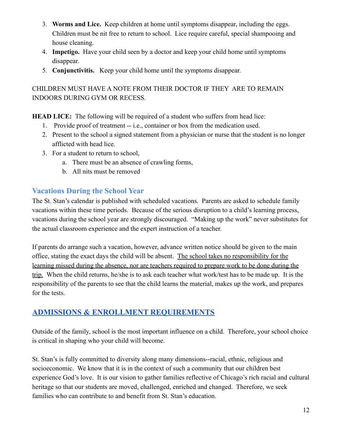- 3. **Worms and Lice.** Keep children at home until symptoms disappear, including the eggs. Children must be nit free to return to school. Lice require careful, special shampooing and house cleaning.
- 4. **Impetigo.** Have your child seen by a doctor and keep your child home until symptoms disappear.
- 5. **Conjunctivitis.** Keep your child home until the symptoms disappear.

# CHILDREN MUST HAVE A NOTE FROM THEIR DOCTOR IF THEY ARE TO REMAIN INDOORS DURING GYM OR RECESS.

**HEAD LICE:** The following will be required of a student who suffers from head lice:

- 1. Provide proof of treatment -- i.e., container or box from the medication used.
- 2. Present to the school a signed statement from a physician or nurse that the student is no longer afflicted with head lice.
- 3. For a student to return to school,
	- a. There must be an absence of crawling forms,
	- b. All nits must be removed

# **Vacations During the School Year**

The St. Stan's calendar is published with scheduled vacations. Parents are asked to schedule family vacations within these time periods. Because of the serious disruption to a child's learning process, vacations during the school year are strongly discouraged. "Making up the work" never substitutes for the actual classroom experience and the expert instruction of a teacher.

If parents do arrange such a vacation, however, advance written notice should be given to the main office, stating the exact days the child will be absent. The school takes no responsibility for the learning missed during the absence, nor are teachers required to prepare work to be done during the trip. When the child returns, he/she is to ask each teacher what work/test has to be made up. It is the responsibility of the parents to see that the child learns the material, makes up the work, and prepares for the tests.

# <span id="page-12-0"></span>**ADMISSIONS & ENROLLMENT [REQUIREMENTS](#page-1-0)**

Outside of the family, school is the most important influence on a child. Therefore, your school choice is critical in shaping who your child will become.

St. Stan's is fully committed to diversity along many dimensions--racial, ethnic, religious and socioeconomic. We know that it is in the context of such a community that our children best experience God's love. It is our vision to gather families reflective of Chicago's rich racial and cultural heritage so that our students are moved, challenged, enriched and changed. Therefore, we seek families who can contribute to and benefit from St. Stan's education.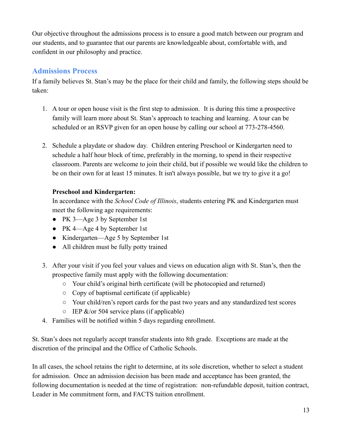Our objective throughout the admissions process is to ensure a good match between our program and our students, and to guarantee that our parents are knowledgeable about, comfortable with, and confident in our philosophy and practice.

# **Admissions Process**

If a family believes St. Stan's may be the place for their child and family, the following steps should be taken:

- 1. A tour or open house visit is the first step to admission. It is during this time a prospective family will learn more about St. Stan's approach to teaching and learning. A tour can be scheduled or an RSVP given for an open house by calling our school at 773-278-4560.
- 2. Schedule a playdate or shadow day*.* Children entering Preschool or Kindergarten need to schedule a half hour block of time, preferably in the morning, to spend in their respective classroom. Parents are welcome to join their child, but if possible we would like the children to be on their own for at least 15 minutes. It isn't always possible, but we try to give it a go!

### **Preschool and Kindergarten:**

In accordance with the *School Code of Illinois*, students entering PK and Kindergarten must meet the following age requirements:

- PK 3—Age 3 by September 1st
- PK 4—Age 4 by September 1st
- Kindergarten—Age 5 by September 1st
- All children must be fully potty trained
- 3. After your visit if you feel your values and views on education align with St. Stan's, then the prospective family must apply with the following documentation:
	- Your child's original birth certificate (will be photocopied and returned)
	- Copy of baptismal certificate (if applicable)
	- Your child/ren's report cards for the past two years and any standardized test scores
	- $\circ$  IEP &/or 504 service plans (if applicable)
- 4. Families will be notified within 5 days regarding enrollment.

St. Stan's does not regularly accept transfer students into 8th grade. Exceptions are made at the discretion of the principal and the Office of Catholic Schools.

In all cases, the school retains the right to determine, at its sole discretion, whether to select a student for admission. Once an admission decision has been made and acceptance has been granted, the following documentation is needed at the time of registration: non-refundable deposit, tuition contract, Leader in Me commitment form, and FACTS tuition enrollment.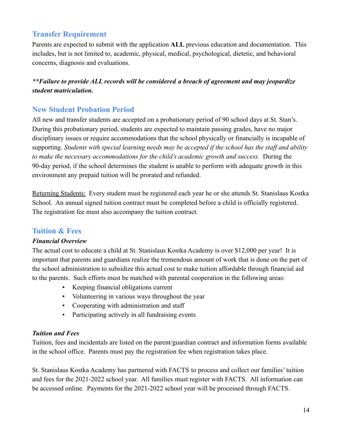# **Transfer Requirement**

Parents are expected to submit with the application **ALL** previous education and documentation. This includes, but is not limited to, academic, physical, medical, psychological, dietetic, and behavioral concerns, diagnosis and evaluations.

# *\*\*Failure to provide ALL records will be considered a breach of agreement and may jeopardize student matriculation.*

# **New Student Probation Period**

All new and transfer students are accepted on a probationary period of 90 school days at St. Stan's. During this probationary period, students are expected to maintain passing grades, have no major disciplinary issues or require accommodations that the school physically or financially is incapable of supporting. *Students with special learning needs may be accepted if the school has the staff and ability to make the necessary accommodations for the child's academic growth and success.* During the 90-day period, if the school determines the student is unable to perform with adequate growth in this environment any prepaid tuition will be prorated and refunded.

Returning Students: Every student must be registered each year he or she attends St. Stanislaus Kostka School. An annual signed tuition contract must be completed before a child is officially registered. The registration fee must also accompany the tuition contract.

### **Tuition & Fees**

### *Financial Overview*

The actual cost to educate a child at St. Stanislaus Kostka Academy is over \$12,000 per year! It is important that parents and guardians realize the tremendous amount of work that is done on the part of the school administration to subsidize this actual cost to make tuition affordable through financial aid to the parents. Such efforts must be matched with parental cooperation in the following areas:

- Keeping financial obligations current
- Volunteering in various ways throughout the year
- Cooperating with administration and staff
- Participating actively in all fundraising events

### *Tuition and Fees*

Tuition, fees and incidentals are listed on the parent/guardian contract and information forms available in the school office. Parents must pay the registration fee when registration takes place.

St. Stanislaus Kostka Academy has partnered with FACTS to process and collect our families' tuition and fees for the 2021-2022 school year. All families must register with FACTS. All information can be accessed online. Payments for the 2021-2022 school year will be processed through FACTS.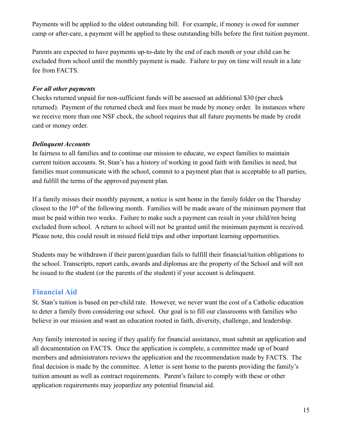Payments will be applied to the oldest outstanding bill. For example, if money is owed for summer camp or after-care, a payment will be applied to these outstanding bills before the first tuition payment.

Parents are expected to have payments up-to-date by the end of each month or your child can be excluded from school until the monthly payment is made. Failure to pay on time will result in a late fee from FACTS.

#### *For all other payments*

Checks returned unpaid for non-sufficient funds will be assessed an additional \$30 (per check returned). Payment of the returned check and fees must be made by money order. In instances where we receive more than one NSF check, the school requires that all future payments be made by credit card or money order.

### *Delinquent Accounts*

In fairness to all families and to continue our mission to educate, we expect families to maintain current tuition accounts. St. Stan's has a history of working in good faith with families in need, but families must communicate with the school, commit to a payment plan that is acceptable to all parties, and fulfill the terms of the approved payment plan.

If a family misses their monthly payment, a notice is sent home in the family folder on the Thursday closest to the  $10<sup>th</sup>$  of the following month. Families will be made aware of the minimum payment that must be paid within two weeks. Failure to make such a payment can result in your child/ren being excluded from school. A return to school will not be granted until the minimum payment is received. Please note, this could result in missed field trips and other important learning opportunities.

Students may be withdrawn if their parent/guardian fails to fulfill their financial/tuition obligations to the school. Transcripts, report cards, awards and diplomas are the property of the School and will not be issued to the student (or the parents of the student) if your account is delinquent.

### **Financial Aid**

St. Stan's tuition is based on per-child rate. However, we never want the cost of a Catholic education to deter a family from considering our school. Our goal is to fill our classrooms with families who believe in our mission and want an education rooted in faith, diversity, challenge, and leadership.

Any family interested in seeing if they qualify for financial assistance, must submit an application and all documentation on FACTS. Once the application is complete, a committee made up of board members and administrators reviews the application and the recommendation made by FACTS. The final decision is made by the committee. A letter is sent home to the parents providing the family's tuition amount as well as contract requirements. Parent's failure to comply with these or other application requirements may jeopardize any potential financial aid.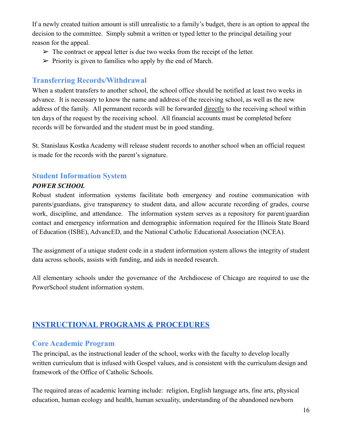If a newly created tuition amount is still unrealistic to a family's budget, there is an option to appeal the decision to the committee. Simply submit a written or typed letter to the principal detailing your reason for the appeal.

- $\triangleright$  The contract or appeal letter is due two weeks from the receipt of the letter.
- $\triangleright$  Priority is given to families who apply by the end of March.

# **Transferring Records/Withdrawal**

When a student transfers to another school, the school office should be notified at least two weeks in advance. It is necessary to know the name and address of the receiving school, as well as the new address of the family. All permanent records will be forwarded directly to the receiving school within ten days of the request by the receiving school. All financial accounts must be completed before records will be forwarded and the student must be in good standing.

St. Stanislaus Kostka Academy will release student records to another school when an official request is made for the records with the parent's signature.

# **Student Information System**

### *POWER SCHOOL*

Robust student information systems facilitate both emergency and routine communication with parents/guardians, give transparency to student data, and allow accurate recording of grades, course work, discipline, and attendance. The information system serves as a repository for parent/guardian contact and emergency information and demographic information required for the Illinois State Board of Education (ISBE), AdvancED, and the National Catholic Educational Association (NCEA).

The assignment of a unique student code in a student information system allows the integrity of student data across schools, assists with funding, and aids in needed research.

All elementary schools under the governance of the Archdiocese of Chicago are required to use the PowerSchool student information system.

# <span id="page-16-0"></span>**[INSTRUCTIONAL](#page-1-0) PROGRAMS & PROCEDURES**

### **Core Academic Program**

The principal, as the instructional leader of the school, works with the faculty to develop locally written curriculum that is infused with Gospel values, and is consistent with the curriculum design and framework of the Office of Catholic Schools.

The required areas of academic learning include: religion, English language arts, fine arts, physical education, human ecology and health, human sexuality, understanding of the abandoned newborn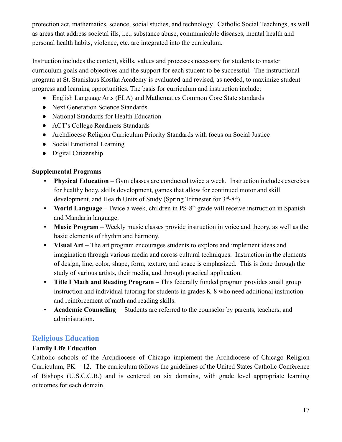protection act, mathematics, science, social studies, and technology. Catholic Social Teachings, as well as areas that address societal ills, i.e., substance abuse, communicable diseases, mental health and personal health habits, violence, etc. are integrated into the curriculum.

Instruction includes the content, skills, values and processes necessary for students to master curriculum goals and objectives and the support for each student to be successful. The instructional program at St. Stanislaus Kostka Academy is evaluated and revised, as needed, to maximize student progress and learning opportunities. The basis for curriculum and instruction include:

- English Language Arts (ELA) and Mathematics Common Core State standards
- Next Generation Science Standards
- National Standards for Health Education
- ACT's College Readiness Standards
- Archdiocese Religion Curriculum Priority Standards with focus on Social Justice
- Social Emotional Learning
- Digital Citizenship

### **Supplemental Programs**

- **Physical Education** Gym classes are conducted twice a week. Instruction includes exercises for healthy body, skills development, games that allow for continued motor and skill development, and Health Units of Study (Spring Trimester for  $3<sup>rd</sup>-8<sup>th</sup>$ ).
- **World Language** Twice a week, children in PS-8<sup>th</sup> grade will receive instruction in Spanish and Mandarin language.
- **Music Program** Weekly music classes provide instruction in voice and theory, as well as the basic elements of rhythm and harmony.
- **Visual Art** The art program encourages students to explore and implement ideas and imagination through various media and across cultural techniques. Instruction in the elements of design, line, color, shape, form, texture, and space is emphasized. This is done through the study of various artists, their media, and through practical application.
- **Title I Math and Reading Program** This federally funded program provides small group instruction and individual tutoring for students in grades K-8 who need additional instruction and reinforcement of math and reading skills.
- **Academic Counseling** Students are referred to the counselor by parents, teachers, and administration.

# **Religious Education**

### **Family Life Education**

Catholic schools of the Archdiocese of Chicago implement the Archdiocese of Chicago Religion Curriculum, PK – 12. The curriculum follows the guidelines of the United States Catholic Conference of Bishops (U.S.C.C.B.) and is centered on six domains, with grade level appropriate learning outcomes for each domain.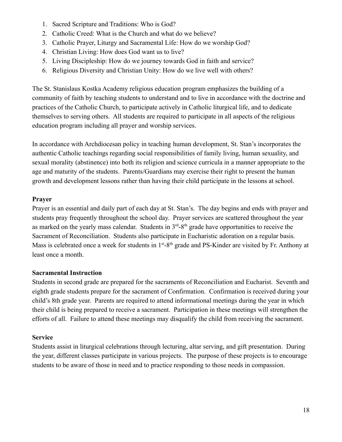- 1. Sacred Scripture and Traditions: Who is God?
- 2. Catholic Creed: What is the Church and what do we believe?
- 3. Catholic Prayer, Liturgy and Sacramental Life: How do we worship God?
- 4. Christian Living: How does God want us to live?
- 5. Living Discipleship: How do we journey towards God in faith and service?
- 6. Religious Diversity and Christian Unity: How do we live well with others?

The St. Stanislaus Kostka Academy religious education program emphasizes the building of a community of faith by teaching students to understand and to live in accordance with the doctrine and practices of the Catholic Church, to participate actively in Catholic liturgical life, and to dedicate themselves to serving others. All students are required to participate in all aspects of the religious education program including all prayer and worship services.

In accordance with Archdiocesan policy in teaching human development, St. Stan's incorporates the authentic Catholic teachings regarding social responsibilities of family living, human sexuality, and sexual morality (abstinence) into both its religion and science curricula in a manner appropriate to the age and maturity of the students. Parents/Guardians may exercise their right to present the human growth and development lessons rather than having their child participate in the lessons at school.

#### **Prayer**

Prayer is an essential and daily part of each day at St. Stan's. The day begins and ends with prayer and students pray frequently throughout the school day. Prayer services are scattered throughout the year as marked on the yearly mass calendar. Students in  $3<sup>rd</sup>-8<sup>th</sup>$  grade have opportunities to receive the Sacrament of Reconciliation. Students also participate in Eucharistic adoration on a regular basis. Mass is celebrated once a week for students in  $1<sup>st</sup> - 8<sup>th</sup>$  grade and PS-Kinder are visited by Fr. Anthony at least once a month.

#### **Sacramental Instruction**

Students in second grade are prepared for the sacraments of Reconciliation and Eucharist. Seventh and eighth grade students prepare for the sacrament of Confirmation. Confirmation is received during your child's 8th grade year. Parents are required to attend informational meetings during the year in which their child is being prepared to receive a sacrament. Participation in these meetings will strengthen the efforts of all. Failure to attend these meetings may disqualify the child from receiving the sacrament.

### **Service**

Students assist in liturgical celebrations through lecturing, altar serving, and gift presentation. During the year, different classes participate in various projects. The purpose of these projects is to encourage students to be aware of those in need and to practice responding to those needs in compassion.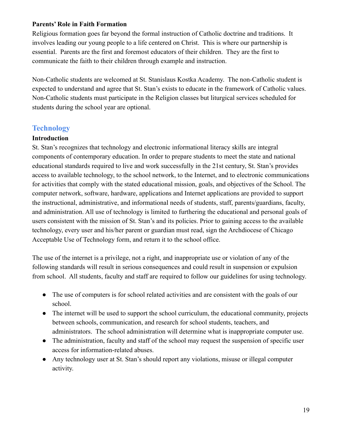#### **Parents' Role in Faith Formation**

Religious formation goes far beyond the formal instruction of Catholic doctrine and traditions. It involves leading our young people to a life centered on Christ. This is where our partnership is essential. Parents are the first and foremost educators of their children. They are the first to communicate the faith to their children through example and instruction.

Non-Catholic students are welcomed at St. Stanislaus Kostka Academy. The non-Catholic student is expected to understand and agree that St. Stan's exists to educate in the framework of Catholic values. Non-Catholic students must participate in the Religion classes but liturgical services scheduled for students during the school year are optional.

# **Technology**

#### **Introduction**

St. Stan's recognizes that technology and electronic informational literacy skills are integral components of contemporary education. In order to prepare students to meet the state and national educational standards required to live and work successfully in the 21st century, St. Stan's provides access to available technology, to the school network, to the Internet, and to electronic communications for activities that comply with the stated educational mission, goals, and objectives of the School. The computer network, software, hardware, applications and Internet applications are provided to support the instructional, administrative, and informational needs of students, staff, parents/guardians, faculty, and administration. All use of technology is limited to furthering the educational and personal goals of users consistent with the mission of St. Stan's and its policies. Prior to gaining access to the available technology, every user and his/her parent or guardian must read, sign the Archdiocese of Chicago Acceptable Use of Technology form, and return it to the school office.

The use of the internet is a privilege, not a right, and inappropriate use or violation of any of the following standards will result in serious consequences and could result in suspension or expulsion from school. All students, faculty and staff are required to follow our guidelines for using technology.

- The use of computers is for school related activities and are consistent with the goals of our school.
- The internet will be used to support the school curriculum, the educational community, projects between schools, communication, and research for school students, teachers, and administrators. The school administration will determine what is inappropriate computer use.
- The administration, faculty and staff of the school may request the suspension of specific user access for information-related abuses.
- Any technology user at St. Stan's should report any violations, misuse or illegal computer activity.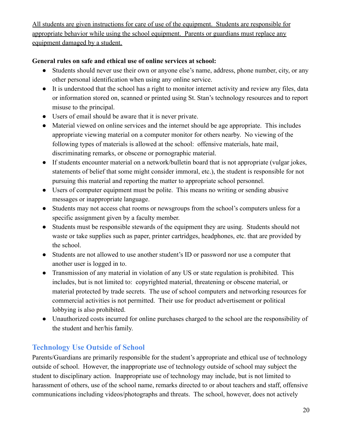All students are given instructions for care of use of the equipment. Students are responsible for appropriate behavior while using the school equipment. Parents or guardians must replace any equipment damaged by a student.

### **General rules on safe and ethical use of online services at school:**

- Students should never use their own or anyone else's name, address, phone number, city, or any other personal identification when using any online service.
- It is understood that the school has a right to monitor internet activity and review any files, data or information stored on, scanned or printed using St. Stan's technology resources and to report misuse to the principal.
- Users of email should be aware that it is never private.
- Material viewed on online services and the internet should be age appropriate. This includes appropriate viewing material on a computer monitor for others nearby. No viewing of the following types of materials is allowed at the school: offensive materials, hate mail, discriminating remarks, or obscene or pornographic material.
- If students encounter material on a network/bulletin board that is not appropriate (vulgar jokes, statements of belief that some might consider immoral, etc.), the student is responsible for not pursuing this material and reporting the matter to appropriate school personnel.
- Users of computer equipment must be polite. This means no writing or sending abusive messages or inappropriate language.
- Students may not access chat rooms or newsgroups from the school's computers unless for a specific assignment given by a faculty member.
- Students must be responsible stewards of the equipment they are using. Students should not waste or take supplies such as paper, printer cartridges, headphones, etc. that are provided by the school.
- Students are not allowed to use another student's ID or password nor use a computer that another user is logged in to.
- Transmission of any material in violation of any US or state regulation is prohibited. This includes, but is not limited to: copyrighted material, threatening or obscene material, or material protected by trade secrets. The use of school computers and networking resources for commercial activities is not permitted. Their use for product advertisement or political lobbying is also prohibited.
- Unauthorized costs incurred for online purchases charged to the school are the responsibility of the student and her/his family.

# **Technology Use Outside of School**

Parents/Guardians are primarily responsible for the student's appropriate and ethical use of technology outside of school. However, the inappropriate use of technology outside of school may subject the student to disciplinary action. Inappropriate use of technology may include, but is not limited to harassment of others, use of the school name, remarks directed to or about teachers and staff, offensive communications including videos/photographs and threats. The school, however, does not actively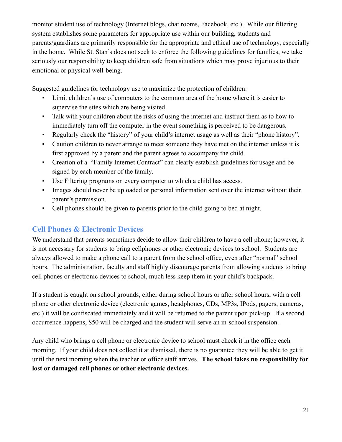monitor student use of technology (Internet blogs, chat rooms, Facebook, etc.). While our filtering system establishes some parameters for appropriate use within our building, students and parents/guardians are primarily responsible for the appropriate and ethical use of technology, especially in the home. While St. Stan's does not seek to enforce the following guidelines for families, we take seriously our responsibility to keep children safe from situations which may prove injurious to their emotional or physical well-being.

Suggested guidelines for technology use to maximize the protection of children:

- Limit children's use of computers to the common area of the home where it is easier to supervise the sites which are being visited.
- Talk with your children about the risks of using the internet and instruct them as to how to immediately turn off the computer in the event something is perceived to be dangerous.
- Regularly check the "history" of your child's internet usage as well as their "phone history".
- Caution children to never arrange to meet someone they have met on the internet unless it is first approved by a parent and the parent agrees to accompany the child.
- Creation of a "Family Internet Contract" can clearly establish guidelines for usage and be signed by each member of the family.
- Use Filtering programs on every computer to which a child has access.
- Images should never be uploaded or personal information sent over the internet without their parent's permission.
- Cell phones should be given to parents prior to the child going to bed at night.

# **Cell Phones & Electronic Devices**

We understand that parents sometimes decide to allow their children to have a cell phone; however, it is not necessary for students to bring cellphones or other electronic devices to school. Students are always allowed to make a phone call to a parent from the school office, even after "normal" school hours. The administration, faculty and staff highly discourage parents from allowing students to bring cell phones or electronic devices to school, much less keep them in your child's backpack.

If a student is caught on school grounds, either during school hours or after school hours, with a cell phone or other electronic device (electronic games, headphones, CDs, MP3s, IPods, pagers, cameras, etc.) it will be confiscated immediately and it will be returned to the parent upon pick-up. If a second occurrence happens, \$50 will be charged and the student will serve an in-school suspension.

Any child who brings a cell phone or electronic device to school must check it in the office each morning. If your child does not collect it at dismissal, there is no guarantee they will be able to get it until the next morning when the teacher or office staff arrives. **The school takes no responsibility for lost or damaged cell phones or other electronic devices.**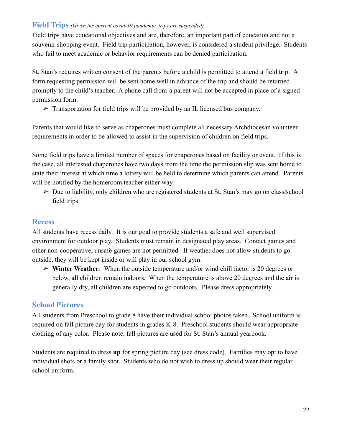#### **Field Trips** *(Given the current covid-19 pandemic, trips are suspended)*

Field trips have educational objectives and are, therefore, an important part of education and not a souvenir shopping event. Field trip participation, however, is considered a student privilege. Students who fail to meet academic or behavior requirements can be denied participation.

St. Stan's requires written consent of the parents before a child is permitted to attend a field trip. A form requesting permission will be sent home well in advance of the trip and should be returned promptly to the child's teacher. A phone call from a parent will not be accepted in place of a signed permission form.

 $\triangleright$  Transportation for field trips will be provided by an IL licensed bus company.

Parents that would like to serve as chaperones must complete all necessary Archdiocesan volunteer requirements in order to be allowed to assist in the supervision of children on field trips.

Some field trips have a limited number of spaces for chaperones based on facility or event. If this is the case, all interested chaperones have two days from the time the permission slip was sent home to state their interest at which time a lottery will be held to determine which parents can attend. Parents will be notified by the homeroom teacher either way.

 $\triangleright$  Due to liability, only children who are registered students at St. Stan's may go on class/school field trips.

#### **Recess**

All students have recess daily. It is our goal to provide students a safe and well supervised environment for outdoor play. Students must remain in designated play areas. Contact games and other non-cooperative, unsafe games are not permitted. If weather does not allow students to go outside, they will be kept inside or will play in our school gym.

➢ **Winter Weather**: When the outside temperature and/or wind chill factor is 20 degrees or below, all children remain indoors. When the temperature is above 20 degrees and the air is generally dry, all children are expected to go outdoors. Please dress appropriately.

### **School Pictures**

All students from Preschool to grade 8 have their individual school photos taken. School uniform is required on fall picture day for students in grades K-8. Preschool students should wear appropriate clothing of any color. Please note, fall pictures are used for St. Stan's annual yearbook.

Students are required to dress **up** for spring picture day (see dress code). Families may opt to have individual shots or a family shot. Students who do not wish to dress up should wear their regular school uniform.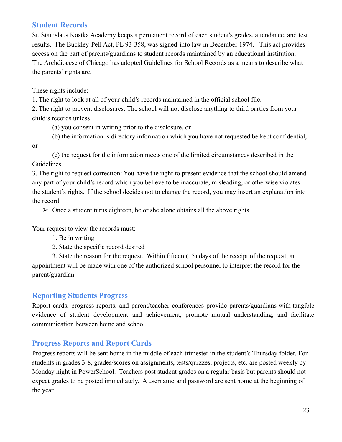# **Student Records**

St. Stanislaus Kostka Academy keeps a permanent record of each student's grades, attendance, and test results. The Buckley-Pell Act, PL 93-358, was signed into law in December 1974. This act provides access on the part of parents/guardians to student records maintained by an educational institution. The Archdiocese of Chicago has adopted Guidelines for School Records as a means to describe what the parents' rights are.

These rights include:

1. The right to look at all of your child's records maintained in the official school file.

2. The right to prevent disclosures: The school will not disclose anything to third parties from your child's records unless

(a) you consent in writing prior to the disclosure, or

(b) the information is directory information which you have not requested be kept confidential,

or

(c) the request for the information meets one of the limited circumstances described in the Guidelines.

3. The right to request correction: You have the right to present evidence that the school should amend any part of your child's record which you believe to be inaccurate, misleading, or otherwise violates the student's rights. If the school decides not to change the record, you may insert an explanation into the record.

 $\geq 0$  once a student turns eighteen, he or she alone obtains all the above rights.

Your request to view the records must:

1. Be in writing

2. State the specific record desired

3. State the reason for the request. Within fifteen (15) days of the receipt of the request, an appointment will be made with one of the authorized school personnel to interpret the record for the parent/guardian.

### **Reporting Students Progress**

Report cards, progress reports, and parent/teacher conferences provide parents/guardians with tangible evidence of student development and achievement, promote mutual understanding, and facilitate communication between home and school.

### **Progress Reports and Report Cards**

Progress reports will be sent home in the middle of each trimester in the student's Thursday folder. For students in grades 3-8, grades/scores on assignments, tests/quizzes, projects, etc. are posted weekly by Monday night in PowerSchool. Teachers post student grades on a regular basis but parents should not expect grades to be posted immediately. A username and password are sent home at the beginning of the year.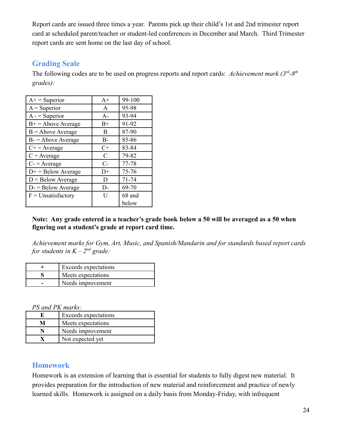Report cards are issued three times a year. Parents pick up their child's 1st and 2nd trimester report card at scheduled parent/teacher or student-led conferences in December and March. Third Trimester report cards are sent home on the last day of school.

# **Grading Scale**

The following codes are to be used on progress reports and report cards: *Achievement mark (3<sup>rd</sup>-8<sup>th</sup> grades):*

| $A+$ = Superior      | $A+$  | 99-100    |
|----------------------|-------|-----------|
| $A =$ Superior       | A     | 95-98     |
| $A -$ = Superior     | $A -$ | 93-94     |
| $B+ = Above Average$ | $B+$  | 91-92     |
| $B =$ Above Average  | B     | 87-90     |
| $B =$ Above Average  | $B -$ | 85-86     |
| $C+$ = Average       | $C+$  | 83-84     |
| $C = Average$        | C     | 79-82     |
| $C = Average$        | $C-$  | 77-78     |
| $D+$ = Below Average | $D+$  | 75-76     |
| $D =$ Below Average  | D     | $71 - 74$ |
| $D = Below Average$  | D-    | 69-70     |
| $F =$ Unsatisfactory | Ħ     | 68 and    |
|                      |       | below     |

**Note: Any grade entered in a teacher's grade book below a 50 will be averaged as a 50 when figuring out a student's grade at report card time.**

*Achievement marks for Gym, Art, Music, and Spanish/Mandarin and for standards based report cards for students in*  $K - 2^{nd}$  *grade:* 

| <b>Exceeds</b> expectations |
|-----------------------------|
| Meets expectations          |
| Needs improvement           |

*PS and PK marks:*

|   | Exceeds expectations |
|---|----------------------|
| м | Meets expectations   |
|   | Needs improvement    |
|   | Not expected yet     |

### **Homework**

Homework is an extension of learning that is essential for students to fully digest new material. It provides preparation for the introduction of new material and reinforcement and practice of newly learned skills. Homework is assigned on a daily basis from Monday-Friday, with infrequent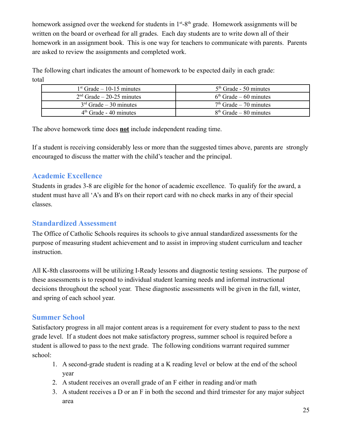homework assigned over the weekend for students in  $1<sup>st</sup> - 8<sup>th</sup>$  grade. Homework assignments will be written on the board or overhead for all grades. Each day students are to write down all of their homework in an assignment book. This is one way for teachers to communicate with parents. Parents are asked to review the assignments and completed work.

The following chart indicates the amount of homework to be expected daily in each grade: total

| $1st$ Grade – 10-15 minutes | $5th$ Grade - 50 minutes |
|-----------------------------|--------------------------|
| $2nd$ Grade – 20-25 minutes | $6th$ Grade – 60 minutes |
| $3rd$ Grade – 30 minutes    | $7th$ Grade – 70 minutes |
| $4th$ Grade - 40 minutes    | $8th$ Grade – 80 minutes |

The above homework time does **not** include independent reading time.

If a student is receiving considerably less or more than the suggested times above, parents are strongly encouraged to discuss the matter with the child's teacher and the principal.

# **Academic Excellence**

Students in grades 3-8 are eligible for the honor of academic excellence. To qualify for the award, a student must have all 'A's and B's on their report card with no check marks in any of their special classes.

# **Standardized Assessment**

The Office of Catholic Schools requires its schools to give annual standardized assessments for the purpose of measuring student achievement and to assist in improving student curriculum and teacher instruction.

All K-8th classrooms will be utilizing I-Ready lessons and diagnostic testing sessions. The purpose of these assessments is to respond to individual student learning needs and informal instructional decisions throughout the school year. These diagnostic assessments will be given in the fall, winter, and spring of each school year.

# **Summer School**

Satisfactory progress in all major content areas is a requirement for every student to pass to the next grade level. If a student does not make satisfactory progress, summer school is required before a student is allowed to pass to the next grade. The following conditions warrant required summer school:

- 1. A second-grade student is reading at a K reading level or below at the end of the school year
- 2. A student receives an overall grade of an F either in reading and/or math
- 3. A student receives a D or an F in both the second and third trimester for any major subject area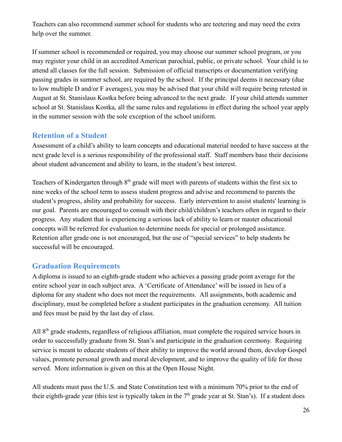Teachers can also recommend summer school for students who are teetering and may need the extra help over the summer.

If summer school is recommended or required, you may choose our summer school program, or you may register your child in an accredited American parochial, public, or private school. Your child is to attend all classes for the full session. Submission of official transcripts or documentation verifying passing grades in summer school, are required by the school. If the principal deems it necessary (due to low multiple D and/or F averages), you may be advised that your child will require being retested in August at St. Stanislaus Kostka before being advanced to the next grade. If your child attends summer school at St. Stanislaus Kostka, all the same rules and regulations in effect during the school year apply in the summer session with the sole exception of the school uniform.

### **Retention of a Student**

Assessment of a child's ability to learn concepts and educational material needed to have success at the next grade level is a serious responsibility of the professional staff. Staff members base their decisions about student advancement and ability to learn, in the student's best interest.

Teachers of Kindergarten through  $8<sup>th</sup>$  grade will meet with parents of students within the first six to nine weeks of the school term to assess student progress and advise and recommend to parents the student's progress, ability and probability for success. Early intervention to assist students' learning is our goal. Parents are encouraged to consult with their child/children's teachers often in regard to their progress. Any student that is experiencing a serious lack of ability to learn or master educational concepts will be referred for evaluation to determine needs for special or prolonged assistance. Retention after grade one is not encouraged, but the use of "special services" to help students be successful will be encouraged.

# **Graduation Requirements**

A diploma is issued to an eighth-grade student who achieves a passing grade point average for the entire school year in each subject area. A 'Certificate of Attendance' will be issued in lieu of a diploma for any student who does not meet the requirements. All assignments, both academic and disciplinary, must be completed before a student participates in the graduation ceremony. All tuition and fees must be paid by the last day of class.

All 8<sup>th</sup> grade students, regardless of religious affiliation, must complete the required service hours in order to successfully graduate from St. Stan's and participate in the graduation ceremony. Requiring service is meant to educate students of their ability to improve the world around them, develop Gospel values, promote personal growth and moral development, and to improve the quality of life for those served. More information is given on this at the Open House Night.

All students must pass the U.S. and State Constitution test with a minimum 70% prior to the end of their eighth-grade year (this test is typically taken in the  $7<sup>th</sup>$  grade year at St. Stan's). If a student does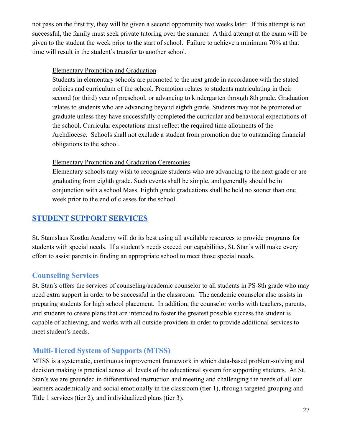not pass on the first try, they will be given a second opportunity two weeks later. If this attempt is not successful, the family must seek private tutoring over the summer. A third attempt at the exam will be given to the student the week prior to the start of school. Failure to achieve a minimum 70% at that time will result in the student's transfer to another school.

#### Elementary Promotion and Graduation

Students in elementary schools are promoted to the next grade in accordance with the stated policies and curriculum of the school. Promotion relates to students matriculating in their second (or third) year of preschool, or advancing to kindergarten through 8th grade. Graduation relates to students who are advancing beyond eighth grade. Students may not be promoted or graduate unless they have successfully completed the curricular and behavioral expectations of the school. Curricular expectations must reflect the required time allotments of the Archdiocese. Schools shall not exclude a student from promotion due to outstanding financial obligations to the school.

### Elementary Promotion and Graduation Ceremonies

Elementary schools may wish to recognize students who are advancing to the next grade or are graduating from eighth grade. Such events shall be simple, and generally should be in conjunction with a school Mass. Eighth grade graduations shall be held no sooner than one week prior to the end of classes for the school.

# <span id="page-27-0"></span>**STUDENT SUPPORT [SERVICES](#page-1-0)**

St. Stanislaus Kostka Academy will do its best using all available resources to provide programs for students with special needs. If a student's needs exceed our capabilities, St. Stan's will make every effort to assist parents in finding an appropriate school to meet those special needs.

# **Counseling Services**

St. Stan's offers the services of counseling/academic counselor to all students in PS-8th grade who may need extra support in order to be successful in the classroom. The academic counselor also assists in preparing students for high school placement. In addition, the counselor works with teachers, parents, and students to create plans that are intended to foster the greatest possible success the student is capable of achieving, and works with all outside providers in order to provide additional services to meet student's needs.

# **Multi-Tiered System of Supports (MTSS)**

MTSS is a systematic, continuous improvement framework in which data-based problem-solving and decision making is practical across all levels of the educational system for supporting students. At St. Stan's we are grounded in differentiated instruction and meeting and challenging the needs of all our learners academically and social emotionally in the classroom (tier 1), through targeted grouping and Title 1 services (tier 2), and individualized plans (tier 3).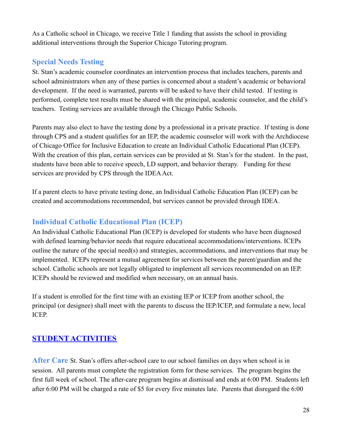As a Catholic school in Chicago, we receive Title 1 funding that assists the school in providing additional interventions through the Superior Chicago Tutoring program.

# **Special Needs Testing**

St. Stan's academic counselor coordinates an intervention process that includes teachers, parents and school administrators when any of these parties is concerned about a student's academic or behavioral development. If the need is warranted, parents will be asked to have their child tested. If testing is performed, complete test results must be shared with the principal, academic counselor, and the child's teachers. Testing services are available through the Chicago Public Schools.

Parents may also elect to have the testing done by a professional in a private practice. If testing is done through CPS and a student qualifies for an IEP, the academic counselor will work with the Archdiocese of Chicago Office for Inclusive Education to create an Individual Catholic Educational Plan (ICEP). With the creation of this plan, certain services can be provided at St. Stan's for the student. In the past, students have been able to receive speech, LD support, and behavior therapy. Funding for these services are provided by CPS through the IDEA Act.

If a parent elects to have private testing done, an Individual Catholic Education Plan (ICEP) can be created and accommodations recommended, but services cannot be provided through IDEA.

# **Individual Catholic Educational Plan (ICEP)**

An Individual Catholic Educational Plan (ICEP) is developed for students who have been diagnosed with defined learning/behavior needs that require educational accommodations/interventions. ICEPs outline the nature of the special need(s) and strategies, accommodations, and interventions that may be implemented. ICEPs represent a mutual agreement for services between the parent/guardian and the school. Catholic schools are not legally obligated to implement all services recommended on an IEP. ICEPs should be reviewed and modified when necessary, on an annual basis.

If a student is enrolled for the first time with an existing IEP or ICEP from another school, the principal (or designee) shall meet with the parents to discuss the IEP/ICEP, and formulate a new, local ICEP.

# <span id="page-28-0"></span>**STUDENT [ACTIVITIES](#page-1-0)**

**After Care** St. Stan's offers after-school care to our school families on days when school is in session. All parents must complete the registration form for these services. The program begins the first full week of school. The after-care program begins at dismissal and ends at 6:00 PM. Students left after 6:00 PM will be charged a rate of \$5 for every five minutes late. Parents that disregard the 6:00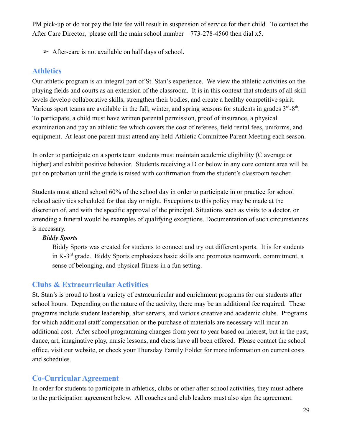PM pick-up or do not pay the late fee will result in suspension of service for their child. To contact the After Care Director, please call the main school number—773-278-4560 then dial x5.

 $\triangleright$  After-care is not available on half days of school.

### **Athletics**

Our athletic program is an integral part of St. Stan's experience. We view the athletic activities on the playing fields and courts as an extension of the classroom. It is in this context that students of all skill levels develop collaborative skills, strengthen their bodies, and create a healthy competitive spirit. Various sport teams are available in the fall, winter, and spring seasons for students in grades  $3<sup>rd</sup>$ -8<sup>th</sup>. To participate, a child must have written parental permission, proof of insurance, a physical examination and pay an athletic fee which covers the cost of referees, field rental fees, uniforms, and equipment. At least one parent must attend any held Athletic Committee Parent Meeting each season.

In order to participate on a sports team students must maintain academic eligibility (C average or higher) and exhibit positive behavior. Students receiving a D or below in any core content area will be put on probation until the grade is raised with confirmation from the student's classroom teacher.

Students must attend school 60% of the school day in order to participate in or practice for school related activities scheduled for that day or night. Exceptions to this policy may be made at the discretion of, and with the specific approval of the principal. Situations such as visits to a doctor, or attending a funeral would be examples of qualifying exceptions. Documentation of such circumstances is necessary.

### *Biddy Sports*

Biddy Sports was created for students to connect and try out different sports. It is for students in K-3rd grade. Biddy Sports emphasizes basic skills and promotes teamwork, commitment, a sense of belonging, and physical fitness in a fun setting.

### **Clubs & Extracurricular Activities**

St. Stan's is proud to host a variety of extracurricular and enrichment programs for our students after school hours. Depending on the nature of the activity, there may be an additional fee required. These programs include student leadership, altar servers, and various creative and academic clubs. Programs for which additional staff compensation or the purchase of materials are necessary will incur an additional cost. After school programming changes from year to year based on interest, but in the past, dance, art, imaginative play, music lessons, and chess have all been offered. Please contact the school office, visit our website, or check your Thursday Family Folder for more information on current costs and schedules.

### **Co-Curricular Agreement**

In order for students to participate in athletics, clubs or other after-school activities, they must adhere to the participation agreement below. All coaches and club leaders must also sign the agreement.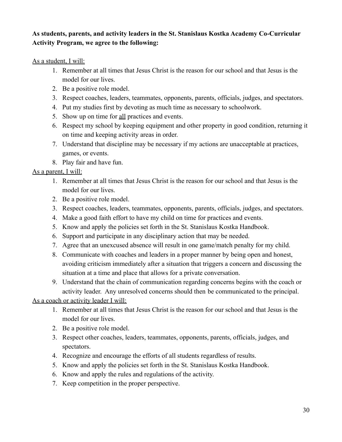### **As students, parents, and activity leaders in the St. Stanislaus Kostka Academy Co-Curricular Activity Program, we agree to the following:**

As a student, I will:

- 1. Remember at all times that Jesus Christ is the reason for our school and that Jesus is the model for our lives.
- 2. Be a positive role model.
- 3. Respect coaches, leaders, teammates, opponents, parents, officials, judges, and spectators.
- 4. Put my studies first by devoting as much time as necessary to schoolwork.
- 5. Show up on time for all practices and events.
- 6. Respect my school by keeping equipment and other property in good condition, returning it on time and keeping activity areas in order.
- 7. Understand that discipline may be necessary if my actions are unacceptable at practices, games, or events.
- 8. Play fair and have fun.

As a parent, I will:

- 1. Remember at all times that Jesus Christ is the reason for our school and that Jesus is the model for our lives.
- 2. Be a positive role model.
- 3. Respect coaches, leaders, teammates, opponents, parents, officials, judges, and spectators.
- 4. Make a good faith effort to have my child on time for practices and events.
- 5. Know and apply the policies set forth in the St. Stanislaus Kostka Handbook.
- 6. Support and participate in any disciplinary action that may be needed.
- 7. Agree that an unexcused absence will result in one game/match penalty for my child.
- 8. Communicate with coaches and leaders in a proper manner by being open and honest, avoiding criticism immediately after a situation that triggers a concern and discussing the situation at a time and place that allows for a private conversation.
- 9. Understand that the chain of communication regarding concerns begins with the coach or activity leader. Any unresolved concerns should then be communicated to the principal.

As a coach or activity leader I will:

- 1. Remember at all times that Jesus Christ is the reason for our school and that Jesus is the model for our lives.
- 2. Be a positive role model.
- 3. Respect other coaches, leaders, teammates, opponents, parents, officials, judges, and spectators.
- 4. Recognize and encourage the efforts of all students regardless of results.
- 5. Know and apply the policies set forth in the St. Stanislaus Kostka Handbook.
- 6. Know and apply the rules and regulations of the activity.
- 7. Keep competition in the proper perspective.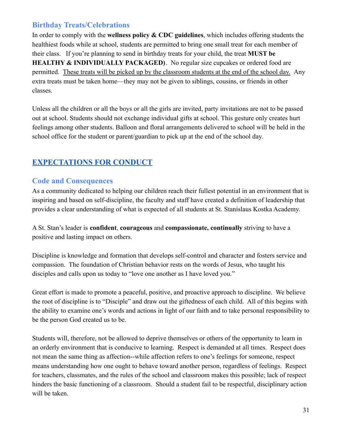# **Birthday Treats/Celebrations**

In order to comply with the **wellness policy & CDC guidelines**, which includes offering students the healthiest foods while at school, students are permitted to bring one small treat for each member of their class. If you're planning to send in birthday treats for your child, the treat **MUST be HEALTHY & INDIVIDUALLY PACKAGED)**. No regular size cupcakes or ordered food are permitted. These treats will be picked up by the classroom students at the end of the school day. Any extra treats must be taken home—they may not be given to siblings, cousins, or friends in other classes.

Unless all the children or all the boys or all the girls are invited, party invitations are not to be passed out at school. Students should not exchange individual gifts at school. This gesture only creates hurt feelings among other students. Balloon and floral arrangements delivered to school will be held in the school office for the student or parent/guardian to pick up at the end of the school day.

# <span id="page-31-0"></span>**[EXPECTATIONS](#page-1-0) FOR CONDUC[T](#page-61-1)**

### **Code and Consequences**

As a community dedicated to helping our children reach their fullest potential in an environment that is inspiring and based on self-discipline, the faculty and staff have created a definition of leadership that provides a clear understanding of what is expected of all students at St. Stanislaus Kostka Academy.

A St. Stan's leader is **confident**, **courageous** and **compassionate, continually** striving to have a positive and lasting impact on others.

Discipline is knowledge and formation that develops self-control and character and fosters service and compassion. The foundation of Christian behavior rests on the words of Jesus, who taught his disciples and calls upon us today to "love one another as I have loved you."

Great effort is made to promote a peaceful, positive, and proactive approach to discipline. We believe the root of discipline is to "Disciple" and draw out the giftedness of each child. All of this begins with the ability to examine one's words and actions in light of our faith and to take personal responsibility to be the person God created us to be.

Students will, therefore, not be allowed to deprive themselves or others of the opportunity to learn in an orderly environment that is conducive to learning. Respect is demanded at all times. Respect does not mean the same thing as affection--while affection refers to one's feelings for someone, respect means understanding how one ought to behave toward another person, regardless of feelings. Respect for teachers, classmates, and the rules of the school and classroom makes this possible; lack of respect hinders the basic functioning of a classroom. Should a student fail to be respectful, disciplinary action will be taken.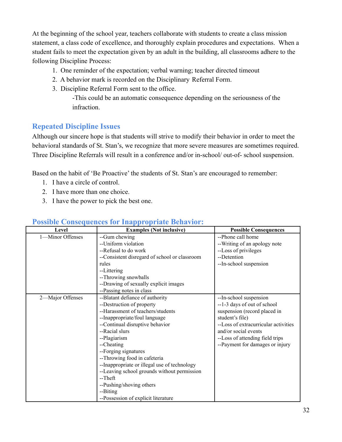At the beginning of the school year, teachers collaborate with students to create a class mission statement, a class code of excellence, and thoroughly explain procedures and expectations. When a student fails to meet the expectation given by an adult in the building, all classrooms adhere to the following Discipline Process:

- 1. One reminder of the expectation; verbal warning; teacher directed timeout
- 2. A behavior mark is recorded on the Disciplinary Referral Form.
- 3. Discipline Referral Form sent to the office.

-This could be an automatic consequence depending on the seriousness of the infraction.

# **Repeated Discipline Issues**

Although our sincere hope is that students will strive to modify their behavior in order to meet the behavioral standards of St. Stan's, we recognize that more severe measures are sometimes required. Three Discipline Referrals will result in a conference and/or in-school/ out-of- school suspension.

Based on the habit of 'Be Proactive' the students of St. Stan's are encouraged to remember:

- 1. I have a circle of control.
- 2. I have more than one choice.
- 3. I have the power to pick the best one.

| Level            | <b>Examples (Not inclusive)</b>               | <b>Possible Consequences</b>         |
|------------------|-----------------------------------------------|--------------------------------------|
| 1-Minor Offenses | --Gum chewing                                 | --Phone call home                    |
|                  | --Uniform violation                           | --Writing of an apology note         |
|                  | --Refusal to do work                          | --Loss of privileges                 |
|                  | --Consistent disregard of school or classroom | --Detention                          |
|                  | rules                                         | --In-school suspension               |
|                  | --Littering                                   |                                      |
|                  | --Throwing snowballs                          |                                      |
|                  | --Drawing of sexually explicit images         |                                      |
|                  | --Passing notes in class                      |                                      |
| 2-Major Offenses | --Blatant defiance of authority               | --In-school suspension               |
|                  | --Destruction of property                     | --1-3 days of out of school          |
|                  | --Harassment of teachers/students             | suspension (record placed in         |
|                  | --Inappropriate/foul language                 | student's file)                      |
|                  | --Continual disruptive behavior               | --Loss of extracurricular activities |
|                  | --Racial slurs                                | and/or social events                 |
|                  | --Plagiarism                                  | --Loss of attending field trips      |
|                  | --Cheating                                    | --Payment for damages or injury      |
|                  | --Forging signatures                          |                                      |
|                  | --Throwing food in cafeteria                  |                                      |
|                  | --Inappropriate or illegal use of technology  |                                      |
|                  | --Leaving school grounds without permission   |                                      |
|                  | $-Theft$                                      |                                      |
|                  | --Pushing/shoving others                      |                                      |
|                  | --Biting                                      |                                      |
|                  | --Possession of explicit literature           |                                      |

### **Possible Consequences for Inappropriate Behavior:**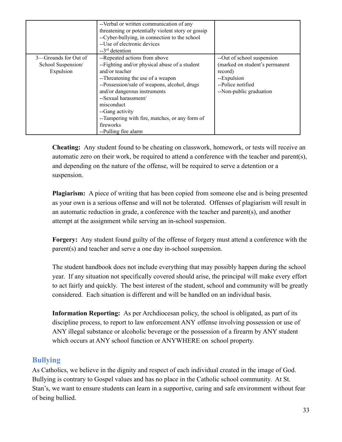|                      | --Verbal or written communication of any<br>threatening or potentially violent story or gossip<br>--Cyber-bullying, in connection to the school<br>--Use of electronic devices<br>$-3rd$ detention |                                |
|----------------------|----------------------------------------------------------------------------------------------------------------------------------------------------------------------------------------------------|--------------------------------|
| 3—Grounds for Out of | --Repeated actions from above                                                                                                                                                                      | --Out of school suspension     |
| School Suspension/   | --Fighting and/or physical abuse of a student                                                                                                                                                      | (marked on student's permanent |
| Expulsion            | and/or teacher                                                                                                                                                                                     | record)                        |
|                      | --Threatening the use of a weapon                                                                                                                                                                  | --Expulsion                    |
|                      | --Possession/sale of weapons, alcohol, drugs                                                                                                                                                       | --Police notified              |
|                      | and/or dangerous instruments                                                                                                                                                                       | --Non-public graduation        |
|                      | --Sexual harassment/                                                                                                                                                                               |                                |
|                      | misconduct                                                                                                                                                                                         |                                |
|                      | --Gang activity                                                                                                                                                                                    |                                |
|                      | --Tampering with fire, matches, or any form of                                                                                                                                                     |                                |
|                      | fireworks                                                                                                                                                                                          |                                |
|                      | --Pulling fire alarm                                                                                                                                                                               |                                |

**Cheating:** Any student found to be cheating on classwork, homework, or tests will receive an automatic zero on their work, be required to attend a conference with the teacher and parent(s), and depending on the nature of the offense, will be required to serve a detention or a suspension.

**Plagiarism:** A piece of writing that has been copied from someone else and is being presented as your own is a serious offense and will not be tolerated. Offenses of plagiarism will result in an automatic reduction in grade, a conference with the teacher and parent(s), and another attempt at the assignment while serving an in-school suspension.

**Forgery:** Any student found guilty of the offense of forgery must attend a conference with the parent(s) and teacher and serve a one day in-school suspension.

The student handbook does not include everything that may possibly happen during the school year. If any situation not specifically covered should arise, the principal will make every effort to act fairly and quickly. The best interest of the student, school and community will be greatly considered. Each situation is different and will be handled on an individual basis.

**Information Reporting:** As per Archdiocesan policy, the school is obligated, as part of its discipline process, to report to law enforcement ANY offense involving possession or use of ANY illegal substance or alcoholic beverage or the possession of a firearm by ANY student which occurs at ANY school function or ANYWHERE on school property.

# **Bullying**

As Catholics, we believe in the dignity and respect of each individual created in the image of God. Bullying is contrary to Gospel values and has no place in the Catholic school community. At St. Stan's, we want to ensure students can learn in a supportive, caring and safe environment without fear of being bullied.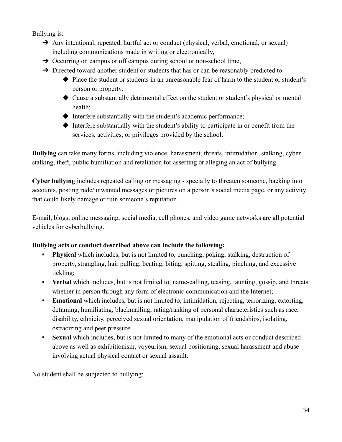Bullying is:

- → Any intentional, repeated, hurtful act or conduct (physical, verbal, emotional, or sexual) including communications made in writing or electronically,
- → Occurring on campus or off campus during school or non-school time,
- → Directed toward another student or students that has or can be reasonably predicted to
	- ◆ Place the student or students in an unreasonable fear of harm to the student or student's person or property;
	- ◆ Cause a substantially detrimental effect on the student or student's physical or mental health;
	- $\blacklozenge$  Interfere substantially with the student's academic performance;
	- ◆ Interfere substantially with the student's ability to participate in or benefit from the services, activities, or privileges provided by the school.

**Bullying** can take many forms, including violence, harassment, threats, intimidation, stalking, cyber stalking, theft, public humiliation and retaliation for asserting or alleging an act of bullying.

**Cyber bullying** includes repeated calling or messaging - specially to threaten someone, hacking into accounts, posting rude/unwanted messages or pictures on a person's social media page, or any activity that could likely damage or ruin someone's reputation.

E-mail, blogs, online messaging, social media, cell phones, and video game networks are all potential vehicles for cyberbullying.

### **Bullying acts or conduct described above can include the following:**

- **• Physical** which includes, but is not limited to, punching, poking, stalking, destruction of property, strangling, hair pulling, beating, biting, spitting, stealing, pinching, and excessive tickling;
- **▪ Verbal** which includes, but is not limited to, name-calling, teasing, taunting, gossip, and threats whether in person through any form of electronic communication and the Internet;
- **• Emotional** which includes, but is not limited to, intimidation, rejecting, terrorizing, extorting, defaming, humiliating, blackmailing, rating/ranking of personal characteristics such as race, disability, ethnicity, perceived sexual orientation, manipulation of friendships, isolating, ostracizing and peer pressure.
- **▪ Sexual** which includes, but is not limited to many of the emotional acts or conduct described above as well as exhibitionism, voyeurism, sexual positioning, sexual harassment and abuse involving actual physical contact or sexual assault.

No student shall be subjected to bullying: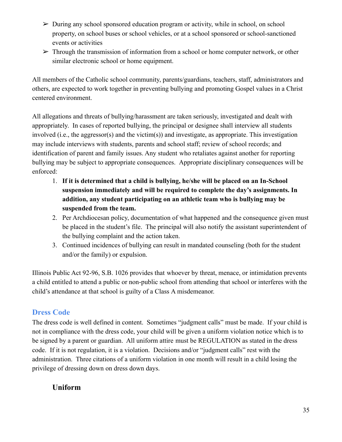- $\triangleright$  During any school sponsored education program or activity, while in school, on school property, on school buses or school vehicles, or at a school sponsored or school-sanctioned events or activities
- $\triangleright$  Through the transmission of information from a school or home computer network, or other similar electronic school or home equipment.

All members of the Catholic school community, parents/guardians, teachers, staff, administrators and others, are expected to work together in preventing bullying and promoting Gospel values in a Christ centered environment.

All allegations and threats of bullying/harassment are taken seriously, investigated and dealt with appropriately. In cases of reported bullying, the principal or designee shall interview all students involved (i.e., the aggressor(s) and the victim(s)) and investigate, as appropriate. This investigation may include interviews with students, parents and school staff; review of school records; and identification of parent and family issues. Any student who retaliates against another for reporting bullying may be subject to appropriate consequences. Appropriate disciplinary consequences will be enforced:

- 1. **If it is determined that a child is bullying, he/she will be placed on an In-School suspension immediately and will be required to complete the day's assignments. In addition, any student participating on an athletic team who is bullying may be suspended from the team.**
- 2. Per Archdiocesan policy, documentation of what happened and the consequence given must be placed in the student's file. The principal will also notify the assistant superintendent of the bullying complaint and the action taken.
- 3. Continued incidences of bullying can result in mandated counseling (both for the student and/or the family) or expulsion.

Illinois Public Act 92-96, S.B. 1026 provides that whoever by threat, menace, or intimidation prevents a child entitled to attend a public or non-public school from attending that school or interferes with the child's attendance at that school is guilty of a Class A misdemeanor.

# **Dress Code**

The dress code is well defined in content. Sometimes "judgment calls" must be made. If your child is not in compliance with the dress code, your child will be given a uniform violation notice which is to be signed by a parent or guardian. All uniform attire must be REGULATION as stated in the dress code. If it is not regulation, it is a violation. Decisions and/or "judgment calls" rest with the administration. Three citations of a uniform violation in one month will result in a child losing the privilege of dressing down on dress down days.

# **Uniform**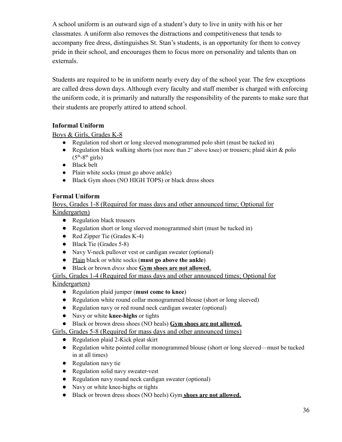A school uniform is an outward sign of a student's duty to live in unity with his or her classmates. A uniform also removes the distractions and competitiveness that tends to accompany free dress, distinguishes St. Stan's students, is an opportunity for them to convey pride in their school, and encourages them to focus more on personality and talents than on externals.

Students are required to be in uniform nearly every day of the school year. The few exceptions are called dress down days. Although every faculty and staff member is charged with enforcing the uniform code, it is primarily and naturally the responsibility of the parents to make sure that their students are properly attired to attend school.

### **Informal Uniform**

### Boys & Girls, Grades K-8

- Regulation red short or long sleeved monogrammed polo shirt (must be tucked in)
- Regulation black walking shorts (not more than  $2<sup>n</sup>$  above knee) or trousers; plaid skirt  $\&$  polo  $(5<sup>th</sup>-8<sup>th</sup> girls)$
- Black belt
- Plain white socks (must go above ankle)
- Black Gym shoes (NO HIGH TOPS) or black dress shoes

#### **Formal Uniform**

Boys, Grades 1-8 (Required for mass days and other announced time; Optional for Kindergarten)

- Regulation black trousers
- Regulation short or long sleeved monogrammed shirt (must be tucked in)
- Red Zipper Tie (Grades K-4)
- Black Tie (Grades 5-8)
- Navy V-neck pullover vest or cardigan sweater (optional)
- Plain black or white socks (**must go above the ankle**)
- Black or brown *dress* shoe **Gym shoes are not allowed.**

#### Girls, Grades 1-4 (Required for mass days and other announced times; Optional for Kindergarten)

- Regulation plaid jumper (**must come to knee**)
- Regulation white round collar monogrammed blouse (short or long sleeved)
- Regulation navy or red round neck cardigan sweater (optional)
- Navy or white **knee-highs** or tights
- Black or brown dress shoes (NO heals) **Gym shoes are not allowed.**

#### Girls, Grades 5-8 (Required for mass days and other announced times)

- Regulation plaid 2-Kick pleat skirt
- Regulation white pointed collar monogrammed blouse (short or long sleeved—must be tucked in at all times)
- Regulation navy tie
- Regulation solid navy sweater-vest
- Regulation navy round neck cardigan sweater (optional)
- Navy or white knee-highs or tights
- Black or brown dress shoes (NO heels) Gym **shoes are not allowed.**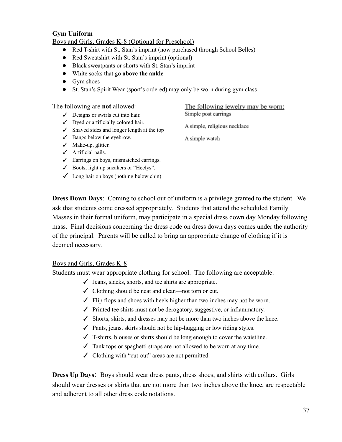#### **Gym Uniform**

#### Boys and Girls, Grades K-8 (Optional for Preschool)

- Red T-shirt with St. Stan's imprint (now purchased through School Belles)
- Red Sweatshirt with St. Stan's imprint (optional)
- Black sweatpants or shorts with St. Stan's imprint
- White socks that go **above the ankle**
- Gym shoes
- St. Stan's Spirit Wear (sport's ordered) may only be worn during gym class

#### The following are **not** allowed:

- $\angle$  Designs or swirls cut into hair.
- ✓ Dyed or artificially colored hair.
- $\checkmark$  Shaved sides and longer length at the top
- ✓ Bangs below the eyebrow.
- ✓ Make-up, glitter.
- ✓ Artificial nails.
- $\angle$  Earrings on boys, mismatched earrings.
- ✓ Boots, light up sneakers or "Heelys".
- $\angle$  Long hair on boys (nothing below chin)

The following jewelry may be worn: Simple post earrings

A simple, religious necklace

A simple watch

**Dress Down Days**: Coming to school out of uniform is a privilege granted to the student. We ask that students come dressed appropriately. Students that attend the scheduled Family Masses in their formal uniform, may participate in a special dress down day Monday following mass. Final decisions concerning the dress code on dress down days comes under the authority of the principal. Parents will be called to bring an appropriate change of clothing if it is deemed necessary.

#### Boys and Girls, Grades K-8

Students must wear appropriate clothing for school. The following are acceptable:

- $\checkmark$  Jeans, slacks, shorts, and tee shirts are appropriate.
- ✓ Clothing should be neat and clean—not torn or cut.
- $\checkmark$  Flip flops and shoes with heels higher than two inches may <u>not</u> be worn.
- ✓ Printed tee shirts must not be derogatory, suggestive, or inflammatory.
- $\checkmark$  Shorts, skirts, and dresses may not be more than two inches above the knee.
- $\checkmark$  Pants, jeans, skirts should not be hip-hugging or low riding styles.
- $\checkmark$  T-shirts, blouses or shirts should be long enough to cover the waistline.
- $\checkmark$  Tank tops or spaghetti straps are not allowed to be worn at any time.
- ✓ Clothing with "cut-out" areas are not permitted.

**Dress Up Days**: Boys should wear dress pants, dress shoes, and shirts with collars. Girls should wear dresses or skirts that are not more than two inches above the knee, are respectable and adherent to all other dress code notations.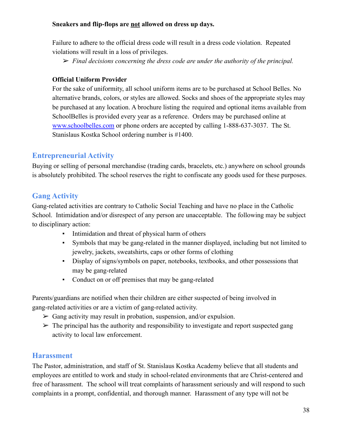#### **Sneakers and flip-flops are not allowed on dress up days.**

Failure to adhere to the official dress code will result in a dress code violation. Repeated violations will result in a loss of privileges.

➢ *Final decisions concerning the dress code are under the authority of the principal.*

#### **Official Uniform Provider**

For the sake of uniformity, all school uniform items are to be purchased at School Belles. No alternative brands, colors, or styles are allowed. Socks and shoes of the appropriate styles may be purchased at any location. A brochure listing the required and optional items available from SchoolBelles is provided every year as a reference. Orders may be purchased online at [www.schoolbelles.com](http://www.schoolbelles.com) or phone orders are accepted by calling 1-888-637-3037. The St. Stanislaus Kostka School ordering number is #1400.

# **Entrepreneurial Activity**

Buying or selling of personal merchandise (trading cards, bracelets, etc.) anywhere on school grounds is absolutely prohibited. The school reserves the right to confiscate any goods used for these purposes.

# **Gang Activity**

Gang-related activities are contrary to Catholic Social Teaching and have no place in the Catholic School. Intimidation and/or disrespect of any person are unacceptable. The following may be subject to disciplinary action:

- **•** Intimidation and threat of physical harm of others
- Symbols that may be gang-related in the manner displayed, including but not limited to jewelry, jackets, sweatshirts, caps or other forms of clothing
- Display of signs/symbols on paper, notebooks, textbooks, and other possessions that may be gang-related
- Conduct on or off premises that may be gang-related

Parents/guardians are notified when their children are either suspected of being involved in gang-related activities or are a victim of gang-related activity.

- $\triangleright$  Gang activity may result in probation, suspension, and/or expulsion.
- $\triangleright$  The principal has the authority and responsibility to investigate and report suspected gang activity to local law enforcement.

### **Harassment**

The Pastor, administration, and staff of St. Stanislaus Kostka Academy believe that all students and employees are entitled to work and study in school-related environments that are Christ-centered and free of harassment. The school will treat complaints of harassment seriously and will respond to such complaints in a prompt, confidential, and thorough manner. Harassment of any type will not be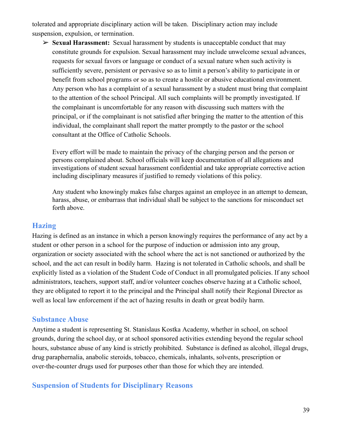tolerated and appropriate disciplinary action will be taken. Disciplinary action may include suspension, expulsion, or termination.

➢ **Sexual Harassment:** Sexual harassment by students is unacceptable conduct that may constitute grounds for expulsion. Sexual harassment may include unwelcome sexual advances, requests for sexual favors or language or conduct of a sexual nature when such activity is sufficiently severe, persistent or pervasive so as to limit a person's ability to participate in or benefit from school programs or so as to create a hostile or abusive educational environment. Any person who has a complaint of a sexual harassment by a student must bring that complaint to the attention of the school Principal. All such complaints will be promptly investigated. If the complainant is uncomfortable for any reason with discussing such matters with the principal, or if the complainant is not satisfied after bringing the matter to the attention of this individual, the complainant shall report the matter promptly to the pastor or the school consultant at the Office of Catholic Schools.

Every effort will be made to maintain the privacy of the charging person and the person or persons complained about. School officials will keep documentation of all allegations and investigations of student sexual harassment confidential and take appropriate corrective action including disciplinary measures if justified to remedy violations of this policy.

Any student who knowingly makes false charges against an employee in an attempt to demean, harass, abuse, or embarrass that individual shall be subject to the sanctions for misconduct set forth above.

#### **Hazing**

Hazing is defined as an instance in which a person knowingly requires the performance of any act by a student or other person in a school for the purpose of induction or admission into any group, organization or society associated with the school where the act is not sanctioned or authorized by the school, and the act can result in bodily harm. Hazing is not tolerated in Catholic schools, and shall be explicitly listed as a violation of the Student Code of Conduct in all promulgated policies. If any school administrators, teachers, support staff, and/or volunteer coaches observe hazing at a Catholic school, they are obligated to report it to the principal and the Principal shall notify their Regional Director as well as local law enforcement if the act of hazing results in death or great bodily harm.

#### **Substance Abuse**

Anytime a student is representing St. Stanislaus Kostka Academy, whether in school, on school grounds, during the school day, or at school sponsored activities extending beyond the regular school hours, substance abuse of any kind is strictly prohibited. Substance is defined as alcohol, illegal drugs, drug paraphernalia, anabolic steroids, tobacco, chemicals, inhalants, solvents, prescription or over-the-counter drugs used for purposes other than those for which they are intended.

### **Suspension of Students for Disciplinary Reasons**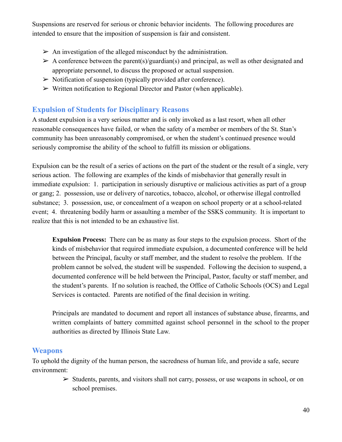Suspensions are reserved for serious or chronic behavior incidents. The following procedures are intended to ensure that the imposition of suspension is fair and consistent.

- $\triangleright$  An investigation of the alleged misconduct by the administration.
- $\triangleright$  A conference between the parent(s)/guardian(s) and principal, as well as other designated and appropriate personnel, to discuss the proposed or actual suspension.
- $\triangleright$  Notification of suspension (typically provided after conference).
- $\triangleright$  Written notification to Regional Director and Pastor (when applicable).

# **Expulsion of Students for Disciplinary Reasons**

A student expulsion is a very serious matter and is only invoked as a last resort, when all other reasonable consequences have failed, or when the safety of a member or members of the St. Stan's community has been unreasonably compromised, or when the student's continued presence would seriously compromise the ability of the school to fulfill its mission or obligations.

Expulsion can be the result of a series of actions on the part of the student or the result of a single, very serious action. The following are examples of the kinds of misbehavior that generally result in immediate expulsion: 1. participation in seriously disruptive or malicious activities as part of a group or gang; 2. possession, use or delivery of narcotics, tobacco, alcohol, or otherwise illegal controlled substance; 3. possession, use, or concealment of a weapon on school property or at a school-related event; 4. threatening bodily harm or assaulting a member of the SSKS community. It is important to realize that this is not intended to be an exhaustive list.

**Expulsion Process:** There can be as many as four steps to the expulsion process. Short of the kinds of misbehavior that required immediate expulsion, a documented conference will be held between the Principal, faculty or staff member, and the student to resolve the problem. If the problem cannot be solved, the student will be suspended. Following the decision to suspend, a documented conference will be held between the Principal, Pastor, faculty or staff member, and the student's parents. If no solution is reached, the Office of Catholic Schools (OCS) and Legal Services is contacted. Parents are notified of the final decision in writing.

Principals are mandated to document and report all instances of substance abuse, firearms, and written complaints of battery committed against school personnel in the school to the proper authorities as directed by Illinois State Law.

### **Weapons**

To uphold the dignity of the human person, the sacredness of human life, and provide a safe, secure environment:

> $\triangleright$  Students, parents, and visitors shall not carry, possess, or use weapons in school, or on school premises.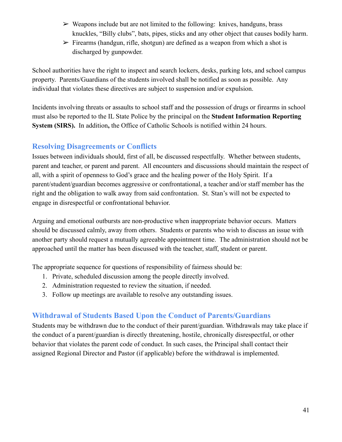- $\triangleright$  Weapons include but are not limited to the following: knives, handguns, brass knuckles, "Billy clubs", bats, pipes, sticks and any other object that causes bodily harm.
- $\triangleright$  Firearms (handgun, rifle, shotgun) are defined as a weapon from which a shot is discharged by gunpowder.

School authorities have the right to inspect and search lockers, desks, parking lots, and school campus property. Parents/Guardians of the students involved shall be notified as soon as possible. Any individual that violates these directives are subject to suspension and/or expulsion.

Incidents involving threats or assaults to school staff and the possession of drugs or firearms in school must also be reported to the IL State Police by the principal on the **Student Information Reporting System (SIRS).** In addition**,** the Office of Catholic Schools is notified within 24 hours.

### **Resolving Disagreements or Conflicts**

Issues between individuals should, first of all, be discussed respectfully. Whether between students, parent and teacher, or parent and parent. All encounters and discussions should maintain the respect of all, with a spirit of openness to God's grace and the healing power of the Holy Spirit. If a parent/student/guardian becomes aggressive or confrontational, a teacher and/or staff member has the right and the obligation to walk away from said confrontation. St. Stan's will not be expected to engage in disrespectful or confrontational behavior.

Arguing and emotional outbursts are non-productive when inappropriate behavior occurs. Matters should be discussed calmly, away from others. Students or parents who wish to discuss an issue with another party should request a mutually agreeable appointment time. The administration should not be approached until the matter has been discussed with the teacher, staff, student or parent.

The appropriate sequence for questions of responsibility of fairness should be:

- 1. Private, scheduled discussion among the people directly involved.
- 2. Administration requested to review the situation, if needed.
- 3. Follow up meetings are available to resolve any outstanding issues.

# **Withdrawal of Students Based Upon the Conduct of Parents/Guardians**

Students may be withdrawn due to the conduct of their parent/guardian. Withdrawals may take place if the conduct of a parent/guardian is directly threatening, hostile, chronically disrespectful, or other behavior that violates the parent code of conduct. In such cases, the Principal shall contact their assigned Regional Director and Pastor (if applicable) before the withdrawal is implemented.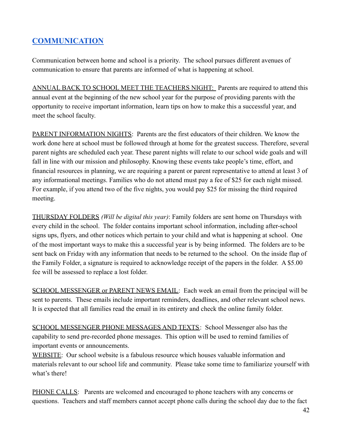# <span id="page-42-0"></span>**[COMMUNICATION](#page-1-0)**

Communication between home and school is a priority. The school pursues different avenues of communication to ensure that parents are informed of what is happening at school.

ANNUAL BACK TO SCHOOL MEET THE TEACHERS NIGHT: Parents are required to attend this annual event at the beginning of the new school year for the purpose of providing parents with the opportunity to receive important information, learn tips on how to make this a successful year, and meet the school faculty.

PARENT INFORMATION NIGHTS: Parents are the first educators of their children. We know the work done here at school must be followed through at home for the greatest success. Therefore, several parent nights are scheduled each year. These parent nights will relate to our school wide goals and will fall in line with our mission and philosophy. Knowing these events take people's time, effort, and financial resources in planning, we are requiring a parent or parent representative to attend at least 3 of any informational meetings. Families who do not attend must pay a fee of \$25 for each night missed. For example, if you attend two of the five nights, you would pay \$25 for missing the third required meeting.

THURSDAY FOLDERS *(Will be digital this year)*: Family folders are sent home on Thursdays with every child in the school. The folder contains important school information, including after-school signs ups, flyers, and other notices which pertain to your child and what is happening at school. One of the most important ways to make this a successful year is by being informed. The folders are to be sent back on Friday with any information that needs to be returned to the school. On the inside flap of the Family Folder, a signature is required to acknowledge receipt of the papers in the folder. A \$5.00 fee will be assessed to replace a lost folder.

SCHOOL MESSENGER or PARENT NEWS EMAIL: Each week an email from the principal will be sent to parents. These emails include important reminders, deadlines, and other relevant school news. It is expected that all families read the email in its entirety and check the online family folder.

SCHOOL MESSENGER PHONE MESSAGES AND TEXTS: School Messenger also has the capability to send pre-recorded phone messages. This option will be used to remind families of important events or announcements.

WEBSITE: Our school website is a fabulous resource which houses valuable information and materials relevant to our school life and community. Please take some time to familiarize yourself with what's there!

PHONE CALLS: Parents are welcomed and encouraged to phone teachers with any concerns or questions. Teachers and staff members cannot accept phone calls during the school day due to the fact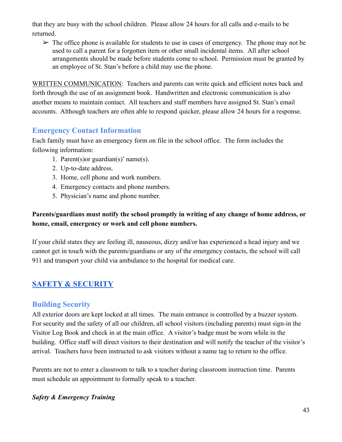that they are busy with the school children. Please allow 24 hours for all calls and e-mails to be returned.

 $\triangleright$  The office phone is available for students to use in cases of emergency. The phone may not be used to call a parent for a forgotten item or other small incidental items. All after school arrangements should be made before students come to school. Permission must be granted by an employee of St. Stan's before a child may use the phone.

WRITTEN COMMUNICATION: Teachers and parents can write quick and efficient notes back and forth through the use of an assignment book. Handwritten and electronic communication is also another means to maintain contact. All teachers and staff members have assigned St. Stan's email accounts. Although teachers are often able to respond quicker, please allow 24 hours for a response.

### **Emergency Contact Information**

Each family must have an emergency form on file in the school office. The form includes the following information:

- 1. Parent(s)or guardian(s)' name(s).
- 2. Up-to-date address.
- 3. Home, cell phone and work numbers.
- 4. Emergency contacts and phone numbers.
- 5. Physician's name and phone number.

### **Parents/guardians must notify the school promptly in writing of any change of home address, or home, email, emergency or work and cell phone numbers.**

If your child states they are feeling ill, nauseous, dizzy and/or has experienced a head injury and we cannot get in touch with the parents/guardians or any of the emergency contacts, the school will call 911 and transport your child via ambulance to the hospital for medical care.

# <span id="page-43-0"></span>**SAFETY & [SECURITY](#page-1-0)**

### **Building Security**

All exterior doors are kept locked at all times. The main entrance is controlled by a buzzer system. For security and the safety of all our children, all school visitors (including parents) must sign-in the Visitor Log Book and check in at the main office. A visitor's badge must be worn while in the building. Office staff will direct visitors to their destination and will notify the teacher of the visitor's arrival. Teachers have been instructed to ask visitors without a name tag to return to the office.

Parents are not to enter a classroom to talk to a teacher during classroom instruction time. Parents must schedule an appointment to formally speak to a teacher.

### *Safety & Emergency Training*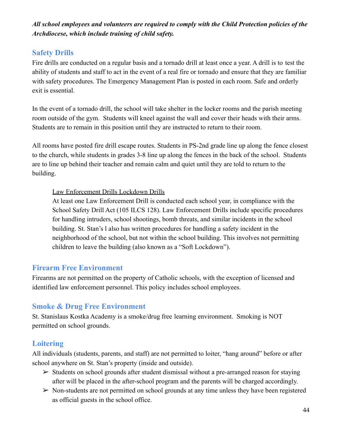*All school employees and volunteers are required to comply with the Child Protection policies of the Archdiocese, which include training of child safety.*

# **Safety Drills**

Fire drills are conducted on a regular basis and a tornado drill at least once a year. A drill is to test the ability of students and staff to act in the event of a real fire or tornado and ensure that they are familiar with safety procedures. The Emergency Management Plan is posted in each room. Safe and orderly exit is essential.

In the event of a tornado drill, the school will take shelter in the locker rooms and the parish meeting room outside of the gym. Students will kneel against the wall and cover their heads with their arms. Students are to remain in this position until they are instructed to return to their room.

All rooms have posted fire drill escape routes. Students in PS-2nd grade line up along the fence closest to the church, while students in grades 3-8 line up along the fences in the back of the school. Students are to line up behind their teacher and remain calm and quiet until they are told to return to the building.

### Law Enforcement Drills Lockdown Drills

At least one Law Enforcement Drill is conducted each school year, in compliance with the School Safety Drill Act (105 ILCS 128). Law Enforcement Drills include specific procedures for handling intruders, school shootings, bomb threats, and similar incidents in the school building. St. Stan's l also has written procedures for handling a safety incident in the neighborhood of the school, but not within the school building. This involves not permitting children to leave the building (also known as a "Soft Lockdown").

# **Firearm Free Environment**

Firearms are not permitted on the property of Catholic schools, with the exception of licensed and identified law enforcement personnel. This policy includes school employees.

# **Smoke & Drug Free Environment**

St. Stanislaus Kostka Academy is a smoke/drug free learning environment. Smoking is NOT permitted on school grounds.

# **Loitering**

All individuals (students, parents, and staff) are not permitted to loiter, "hang around" before or after school anywhere on St. Stan's property (inside and outside).

- $\geq$  Students on school grounds after student dismissal without a pre-arranged reason for staying after will be placed in the after-school program and the parents will be charged accordingly.
- $\triangleright$  Non-students are not permitted on school grounds at any time unless they have been registered as official guests in the school office.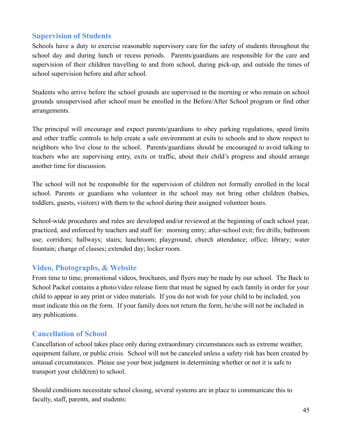### **Supervision of Students**

Schools have a duty to exercise reasonable supervisory care for the safety of students throughout the school day and during lunch or recess periods. Parents/guardians are responsible for the care and supervision of their children travelling to and from school, during pick-up, and outside the times of school supervision before and after school.

Students who arrive before the school grounds are supervised in the morning or who remain on school grounds unsupervised after school must be enrolled in the Before/After School program or find other arrangements.

The principal will encourage and expect parents/guardians to obey parking regulations, speed limits and other traffic controls to help create a safe environment at exits to schools and to show respect to neighbors who live close to the school. Parents/guardians should be encouraged to avoid talking to teachers who are supervising entry, exits or traffic, about their child's progress and should arrange another time for discussion.

The school will not be responsible for the supervision of children not formally enrolled in the local school. Parents or guardians who volunteer in the school may not bring other children (babies, toddlers, guests, visitors) with them to the school during their assigned volunteer hours.

School-wide procedures and rules are developed and/or reviewed at the beginning of each school year, practiced, and enforced by teachers and staff for: morning entry; after-school exit; fire drills; bathroom use; corridors; hallways; stairs; lunchroom; playground; church attendance; office; library; water fountain; change of classes; extended day; locker room.

### **Video, Photographs, & Website**

From time to time, promotional videos, brochures, and flyers may be made by our school. The Back to School Packet contains a photo/video release form that must be signed by each family in order for your child to appear in any print or video materials. If you do not wish for your child to be included, you must indicate this on the form. If your family does not return the form, he/she will not be included in any publications.

### **Cancellation of School**

Cancellation of school takes place only during extraordinary circumstances such as extreme weather, equipment failure, or public crisis. School will not be canceled unless a safety risk has been created by unusual circumstances. Please use your best judgment in determining whether or not it is safe to transport your child(ren) to school.

Should conditions necessitate school closing, several systems are in place to communicate this to faculty, staff, parents, and students: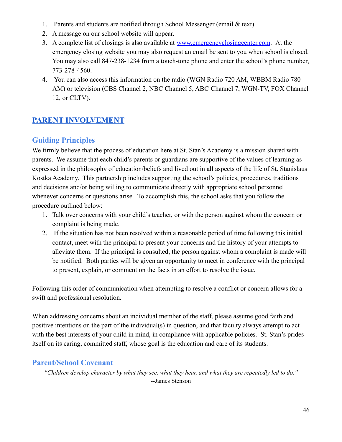- 1. Parents and students are notified through School Messenger (email & text).
- 2. A message on our school website will appear.
- 3. A complete list of closings is also available at [www.emergencyclosingcenter.com](http://www.emergencyclosingcenter.com). At the emergency closing website you may also request an email be sent to you when school is closed. You may also call 847-238-1234 from a touch-tone phone and enter the school's phone number, 773-278-4560.
- 4. You can also access this information on the radio (WGN Radio 720 AM, WBBM Radio 780 AM) or television (CBS Channel 2, NBC Channel 5, ABC Channel 7, WGN-TV, FOX Channel 12, or CLTV).

# <span id="page-46-0"></span>**PARENT [INVOLVEMENT](#page-1-0)**

# **Guiding Principles**

We firmly believe that the process of education here at St. Stan's Academy is a mission shared with parents. We assume that each child's parents or guardians are supportive of the values of learning as expressed in the philosophy of education/beliefs and lived out in all aspects of the life of St. Stanislaus Kostka Academy. This partnership includes supporting the school's policies, procedures, traditions and decisions and/or being willing to communicate directly with appropriate school personnel whenever concerns or questions arise. To accomplish this, the school asks that you follow the procedure outlined below:

- 1. Talk over concerns with your child's teacher, or with the person against whom the concern or complaint is being made.
- 2. If the situation has not been resolved within a reasonable period of time following this initial contact, meet with the principal to present your concerns and the history of your attempts to alleviate them. If the principal is consulted, the person against whom a complaint is made will be notified. Both parties will be given an opportunity to meet in conference with the principal to present, explain, or comment on the facts in an effort to resolve the issue.

Following this order of communication when attempting to resolve a conflict or concern allows for a swift and professional resolution.

When addressing concerns about an individual member of the staff, please assume good faith and positive intentions on the part of the individual(s) in question, and that faculty always attempt to act with the best interests of your child in mind, in compliance with applicable policies. St. Stan's prides itself on its caring, committed staff, whose goal is the education and care of its students.

### **Parent/School Covenant**

"Children develop character by what they see, what they hear, and what they are repeatedly led to do." --James Stenson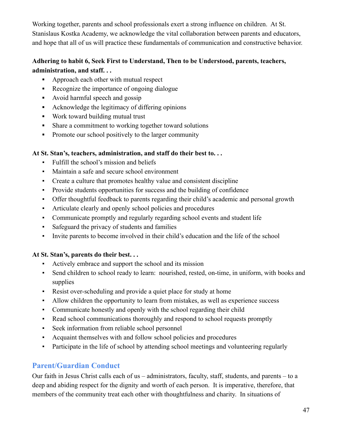Working together, parents and school professionals exert a strong influence on children. At St. Stanislaus Kostka Academy, we acknowledge the vital collaboration between parents and educators, and hope that all of us will practice these fundamentals of communication and constructive behavior.

### **Adhering to habit 6, Seek First to Understand, Then to be Understood, parents, teachers, administration, and staff. . .**

- Approach each other with mutual respect
- Recognize the importance of ongoing dialogue
- **▪** Avoid harmful speech and gossip
- **▪** Acknowledge the legitimacy of differing opinions
- **▪** Work toward building mutual trust
- **▪** Share a commitment to working together toward solutions
- **▪** Promote our school positively to the larger community

### **At St. Stan's, teachers, administration, and staff do their best to. . .**

- Fulfill the school's mission and beliefs
- Maintain a safe and secure school environment
- Create a culture that promotes healthy value and consistent discipline
- Provide students opportunities for success and the building of confidence
- Offer thoughtful feedback to parents regarding their child's academic and personal growth
- Articulate clearly and openly school policies and procedures
- Communicate promptly and regularly regarding school events and student life
- Safeguard the privacy of students and families
- Invite parents to become involved in their child's education and the life of the school

### **At St. Stan's, parents do their best. . .**

- Actively embrace and support the school and its mission
- Send children to school ready to learn: nourished, rested, on-time, in uniform, with books and supplies
- Resist over-scheduling and provide a quiet place for study at home
- Allow children the opportunity to learn from mistakes, as well as experience success
- Communicate honestly and openly with the school regarding their child
- Read school communications thoroughly and respond to school requests promptly
- Seek information from reliable school personnel
- Acquaint themselves with and follow school policies and procedures
- Participate in the life of school by attending school meetings and volunteering regularly

# **Parent/Guardian Conduct**

Our faith in Jesus Christ calls each of us – administrators, faculty, staff, students, and parents – to a deep and abiding respect for the dignity and worth of each person. It is imperative, therefore, that members of the community treat each other with thoughtfulness and charity. In situations of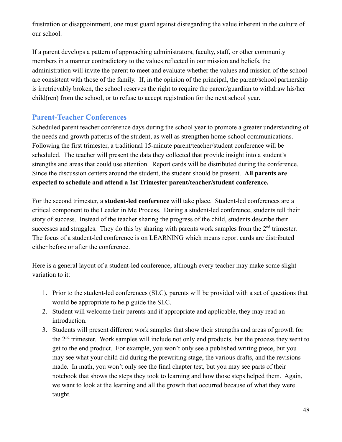frustration or disappointment, one must guard against disregarding the value inherent in the culture of our school.

If a parent develops a pattern of approaching administrators, faculty, staff, or other community members in a manner contradictory to the values reflected in our mission and beliefs, the administration will invite the parent to meet and evaluate whether the values and mission of the school are consistent with those of the family. If, in the opinion of the principal, the parent/school partnership is irretrievably broken, the school reserves the right to require the parent/guardian to withdraw his/her child(ren) from the school, or to refuse to accept registration for the next school year.

# **Parent-Teacher Conferences**

Scheduled parent teacher conference days during the school year to promote a greater understanding of the needs and growth patterns of the student, as well as strengthen home-school communications. Following the first trimester, a traditional 15-minute parent/teacher/student conference will be scheduled. The teacher will present the data they collected that provide insight into a student's strengths and areas that could use attention. Report cards will be distributed during the conference. Since the discussion centers around the student, the student should be present. **All parents are expected to schedule and attend a 1st Trimester parent/teacher/student conference.**

For the second trimester, a **student-led conference** will take place. Student-led conferences are a critical component to the Leader in Me Process. During a student-led conference, students tell their story of success. Instead of the teacher sharing the progress of the child, students describe their successes and struggles. They do this by sharing with parents work samples from the  $2<sup>nd</sup>$  trimester. The focus of a student-led conference is on LEARNING which means report cards are distributed either before or after the conference.

Here is a general layout of a student-led conference, although every teacher may make some slight variation to it:

- 1. Prior to the student-led conferences (SLC), parents will be provided with a set of questions that would be appropriate to help guide the SLC.
- 2. Student will welcome their parents and if appropriate and applicable, they may read an introduction.
- 3. Students will present different work samples that show their strengths and areas of growth for the  $2<sup>nd</sup>$  trimester. Work samples will include not only end products, but the process they went to get to the end product. For example, you won't only see a published writing piece, but you may see what your child did during the prewriting stage, the various drafts, and the revisions made. In math, you won't only see the final chapter test, but you may see parts of their notebook that shows the steps they took to learning and how those steps helped them. Again, we want to look at the learning and all the growth that occurred because of what they were taught.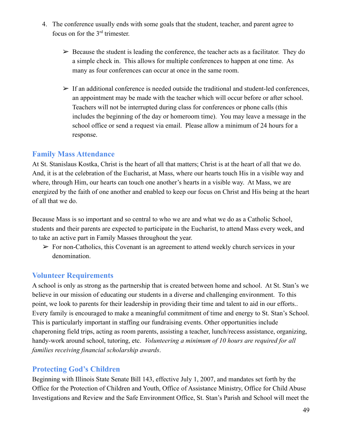- 4. The conference usually ends with some goals that the student, teacher, and parent agree to focus on for the  $3<sup>rd</sup>$  trimester.
	- $\triangleright$  Because the student is leading the conference, the teacher acts as a facilitator. They do a simple check in. This allows for multiple conferences to happen at one time. As many as four conferences can occur at once in the same room.
	- $\triangleright$  If an additional conference is needed outside the traditional and student-led conferences, an appointment may be made with the teacher which will occur before or after school. Teachers will not be interrupted during class for conferences or phone calls (this includes the beginning of the day or homeroom time). You may leave a message in the school office or send a request via email. Please allow a minimum of 24 hours for a response.

### **Family Mass Attendance**

At St. Stanislaus Kostka, Christ is the heart of all that matters; Christ is at the heart of all that we do. And, it is at the celebration of the Eucharist, at Mass, where our hearts touch His in a visible way and where, through Him, our hearts can touch one another's hearts in a visible way. At Mass, we are energized by the faith of one another and enabled to keep our focus on Christ and His being at the heart of all that we do.

Because Mass is so important and so central to who we are and what we do as a Catholic School, students and their parents are expected to participate in the Eucharist, to attend Mass every week, and to take an active part in Family Masses throughout the year.

 $\triangleright$  For non-Catholics, this Covenant is an agreement to attend weekly church services in your denomination.

### **Volunteer Requirements**

A school is only as strong as the partnership that is created between home and school. At St. Stan's we believe in our mission of educating our students in a diverse and challenging environment. To this point, we look to parents for their leadership in providing their time and talent to aid in our efforts.. Every family is encouraged to make a meaningful commitment of time and energy to St. Stan's School. This is particularly important in staffing our fundraising events. Other opportunities include chaperoning field trips, acting as room parents, assisting a teacher, lunch/recess assistance, organizing, handy-work around school, tutoring, etc. *Volunteering a minimum of 10 hours are required for all families receiving financial scholarship awards*.

### **Protecting God's Children**

Beginning with Illinois State Senate Bill 143, effective July 1, 2007, and mandates set forth by the Office for the Protection of Children and Youth, Office of Assistance Ministry, Office for Child Abuse Investigations and Review and the Safe Environment Office, St. Stan's Parish and School will meet the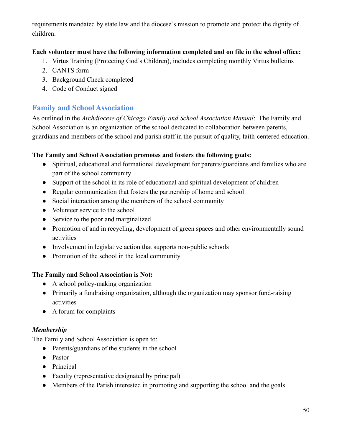requirements mandated by state law and the diocese's mission to promote and protect the dignity of children.

### **Each volunteer must have the following information completed and on file in the school office:**

- 1. Virtus Training (Protecting God's Children), includes completing monthly Virtus bulletins
- 2. CANTS form
- 3. Background Check completed
- 4. Code of Conduct signed

# **Family and School Association**

As outlined in the *Archdiocese of Chicago Family and School Association Manual*: The Family and School Association is an organization of the school dedicated to collaboration between parents, guardians and members of the school and parish staff in the pursuit of quality, faith-centered education.

### **The Family and School Association promotes and fosters the following goals:**

- Spiritual, educational and formational development for parents/guardians and families who are part of the school community
- Support of the school in its role of educational and spiritual development of children
- Regular communication that fosters the partnership of home and school
- Social interaction among the members of the school community
- Volunteer service to the school
- Service to the poor and marginalized
- Promotion of and in recycling, development of green spaces and other environmentally sound activities
- Involvement in legislative action that supports non-public schools
- Promotion of the school in the local community

### **The Family and School Association is Not:**

- A school policy-making organization
- Primarily a fundraising organization, although the organization may sponsor fund-raising activities
- A forum for complaints

### *Membership*

The Family and School Association is open to:

- Parents/guardians of the students in the school
- Pastor
- Principal
- Faculty (representative designated by principal)
- Members of the Parish interested in promoting and supporting the school and the goals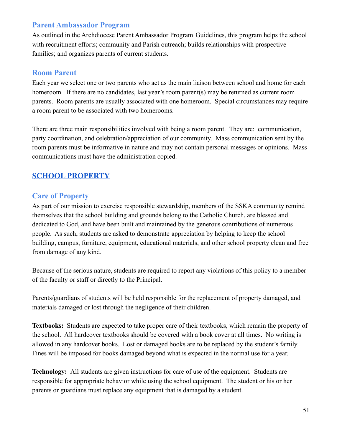# **Parent Ambassador Program**

As outlined in the Archdiocese Parent Ambassador Program Guidelines, this program helps the school with recruitment efforts; community and Parish outreach; builds relationships with prospective families; and organizes parents of current students.

### **Room Parent**

Each year we select one or two parents who act as the main liaison between school and home for each homeroom. If there are no candidates, last year's room parent(s) may be returned as current room parents. Room parents are usually associated with one homeroom. Special circumstances may require a room parent to be associated with two homerooms.

There are three main responsibilities involved with being a room parent. They are: communication, party coordination, and celebration/appreciation of our community. Mass communication sent by the room parents must be informative in nature and may not contain personal messages or opinions. Mass communications must have the administration copied.

# <span id="page-51-0"></span>**SCHOOL [PROPERTY](#page-1-0)**

### **Care of Property**

As part of our mission to exercise responsible stewardship, members of the SSKA community remind themselves that the school building and grounds belong to the Catholic Church, are blessed and dedicated to God, and have been built and maintained by the generous contributions of numerous people. As such, students are asked to demonstrate appreciation by helping to keep the school building, campus, furniture, equipment, educational materials, and other school property clean and free from damage of any kind.

Because of the serious nature, students are required to report any violations of this policy to a member of the faculty or staff or directly to the Principal.

Parents/guardians of students will be held responsible for the replacement of property damaged, and materials damaged or lost through the negligence of their children.

**Textbooks:** Students are expected to take proper care of their textbooks, which remain the property of the school. All hardcover textbooks should be covered with a book cover at all times. No writing is allowed in any hardcover books. Lost or damaged books are to be replaced by the student's family. Fines will be imposed for books damaged beyond what is expected in the normal use for a year.

**Technology:** All students are given instructions for care of use of the equipment. Students are responsible for appropriate behavior while using the school equipment. The student or his or her parents or guardians must replace any equipment that is damaged by a student.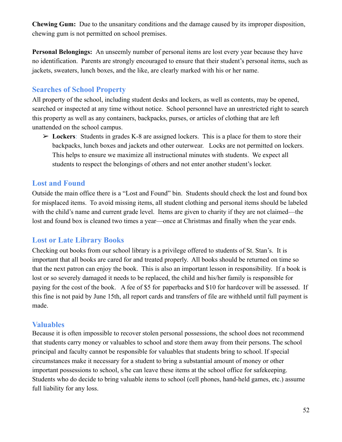**Chewing Gum:** Due to the unsanitary conditions and the damage caused by its improper disposition, chewing gum is not permitted on school premises.

**Personal Belongings:** An unseemly number of personal items are lost every year because they have no identification. Parents are strongly encouraged to ensure that their student's personal items, such as jackets, sweaters, lunch boxes, and the like, are clearly marked with his or her name.

### **Searches of School Property**

All property of the school, including student desks and lockers, as well as contents, may be opened, searched or inspected at any time without notice. School personnel have an unrestricted right to search this property as well as any containers, backpacks, purses, or articles of clothing that are left unattended on the school campus.

➢ **Lockers**: Students in grades K-8 are assigned lockers. This is a place for them to store their backpacks, lunch boxes and jackets and other outerwear. Locks are not permitted on lockers. This helps to ensure we maximize all instructional minutes with students. We expect all students to respect the belongings of others and not enter another student's locker.

### **Lost and Found**

Outside the main office there is a "Lost and Found" bin. Students should check the lost and found box for misplaced items. To avoid missing items, all student clothing and personal items should be labeled with the child's name and current grade level. Items are given to charity if they are not claimed—the lost and found box is cleaned two times a year—once at Christmas and finally when the year ends.

# **Lost or Late Library Books**

Checking out books from our school library is a privilege offered to students of St. Stan's. It is important that all books are cared for and treated properly. All books should be returned on time so that the next patron can enjoy the book. This is also an important lesson in responsibility. If a book is lost or so severely damaged it needs to be replaced, the child and his/her family is responsible for paying for the cost of the book. A fee of \$5 for paperbacks and \$10 for hardcover will be assessed. If this fine is not paid by June 15th, all report cards and transfers of file are withheld until full payment is made.

### **Valuables**

Because it is often impossible to recover stolen personal possessions, the school does not recommend that students carry money or valuables to school and store them away from their persons. The school principal and faculty cannot be responsible for valuables that students bring to school. If special circumstances make it necessary for a student to bring a substantial amount of money or other important possessions to school, s/he can leave these items at the school office for safekeeping. Students who do decide to bring valuable items to school (cell phones, hand-held games, etc.) assume full liability for any loss.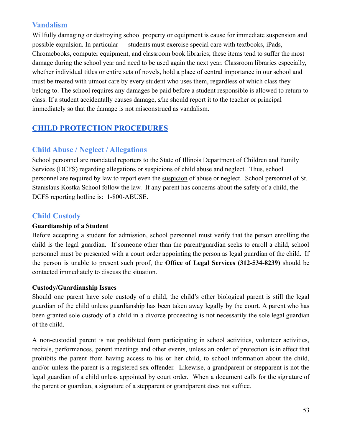# **Vandalism**

Willfully damaging or destroying school property or equipment is cause for immediate suspension and possible expulsion. In particular — students must exercise special care with textbooks, iPads, Chromebooks, computer equipment, and classroom book libraries; these items tend to suffer the most damage during the school year and need to be used again the next year. Classroom libraries especially, whether individual titles or entire sets of novels, hold a place of central importance in our school and must be treated with utmost care by every student who uses them, regardless of which class they belong to. The school requires any damages be paid before a student responsible is allowed to return to class. If a student accidentally causes damage, s/he should report it to the teacher or principal immediately so that the damage is not misconstrued as vandalism.

# <span id="page-53-0"></span>**CHILD PROTECTION [PROCEDURES](#page-1-0)**

# **Child Abuse / Neglect / Allegations**

School personnel are mandated reporters to the State of Illinois Department of Children and Family Services (DCFS) regarding allegations or suspicions of child abuse and neglect. Thus, school personnel are required by law to report even the suspicion of abuse or neglect. School personnel of St. Stanislaus Kostka School follow the law. If any parent has concerns about the safety of a child, the DCFS reporting hotline is: 1-800-ABUSE.

# **Child Custody**

### **Guardianship of a Student**

Before accepting a student for admission, school personnel must verify that the person enrolling the child is the legal guardian. If someone other than the parent/guardian seeks to enroll a child, school personnel must be presented with a court order appointing the person as legal guardian of the child. If the person is unable to present such proof, the **Office of Legal Services (312-534-8239)** should be contacted immediately to discuss the situation.

### **Custody/Guardianship Issues**

Should one parent have sole custody of a child, the child's other biological parent is still the legal guardian of the child unless guardianship has been taken away legally by the court. A parent who has been granted sole custody of a child in a divorce proceeding is not necessarily the sole legal guardian of the child.

A non-custodial parent is not prohibited from participating in school activities, volunteer activities, recitals, performances, parent meetings and other events, unless an order of protection is in effect that prohibits the parent from having access to his or her child, to school information about the child, and/or unless the parent is a registered sex offender. Likewise, a grandparent or stepparent is not the legal guardian of a child unless appointed by court order. When a document calls for the signature of the parent or guardian, a signature of a stepparent or grandparent does not suffice.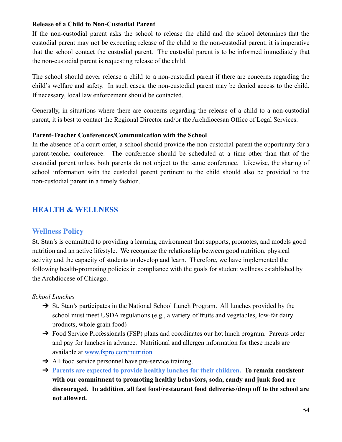#### **Release of a Child to Non-Custodial Parent**

If the non-custodial parent asks the school to release the child and the school determines that the custodial parent may not be expecting release of the child to the non-custodial parent, it is imperative that the school contact the custodial parent. The custodial parent is to be informed immediately that the non-custodial parent is requesting release of the child.

The school should never release a child to a non-custodial parent if there are concerns regarding the child's welfare and safety. In such cases, the non-custodial parent may be denied access to the child. If necessary, local law enforcement should be contacted.

Generally, in situations where there are concerns regarding the release of a child to a non-custodial parent, it is best to contact the Regional Director and/or the Archdiocesan Office of Legal Services.

#### **Parent-Teacher Conferences/Communication with the School**

In the absence of a court order, a school should provide the non-custodial parent the opportunity for a parent-teacher conference. The conference should be scheduled at a time other than that of the custodial parent unless both parents do not object to the same conference. Likewise, the sharing of school information with the custodial parent pertinent to the child should also be provided to the non-custodial parent in a timely fashion.

# <span id="page-54-0"></span>**HEALTH & [WELLNESS](#page-1-0)**

### **Wellness Policy**

St. Stan's is committed to providing a learning environment that supports, promotes, and models good nutrition and an active lifestyle. We recognize the relationship between good nutrition, physical activity and the capacity of students to develop and learn. Therefore, we have implemented the following health-promoting policies in compliance with the goals for student wellness established by the Archdiocese of Chicago.

#### *School Lunches*

- → St. Stan's participates in the National School Lunch Program. All lunches provided by the school must meet USDA regulations (e.g., a variety of fruits and vegetables, low-fat dairy products, whole grain food)
- → Food Service Professionals (FSP) plans and coordinates our hot lunch program. Parents order and pay for lunches in advance. Nutritional and allergen information for these meals are available at [www.fspro.com/nutrition](http://www.fspro.com/nutrition)
- $\rightarrow$  All food service personnel have pre-service training.
- ➔ **Parents are expected to provide healthy lunches for their children. To remain consistent with our commitment to promoting healthy behaviors, soda, candy and junk food are discouraged. In addition, all fast food/restaurant food deliveries/drop off to the school are not allowed.**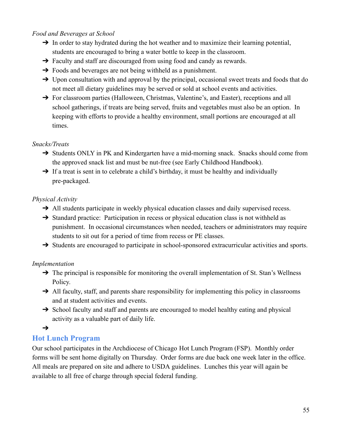#### *Food and Beverages at School*

- $\rightarrow$  In order to stay hydrated during the hot weather and to maximize their learning potential, students are encouraged to bring a water bottle to keep in the classroom.
- ➔ Faculty and staff are discouraged from using food and candy as rewards.
- $\rightarrow$  Foods and beverages are not being withheld as a punishment.
- → Upon consultation with and approval by the principal, occasional sweet treats and foods that do not meet all dietary guidelines may be served or sold at school events and activities.
- → For classroom parties (Halloween, Christmas, Valentine's, and Easter), receptions and all school gatherings, if treats are being served, fruits and vegetables must also be an option. In keeping with efforts to provide a healthy environment, small portions are encouraged at all times.

#### *Snacks/Treats*

- → Students ONLY in PK and Kindergarten have a mid-morning snack. Snacks should come from the approved snack list and must be nut-free (see Early Childhood Handbook).
- $\rightarrow$  If a treat is sent in to celebrate a child's birthday, it must be healthy and individually pre-packaged.

#### *Physical Activity*

- → All students participate in weekly physical education classes and daily supervised recess.
- → Standard practice: Participation in recess or physical education class is not withheld as punishment. In occasional circumstances when needed, teachers or administrators may require students to sit out for a period of time from recess or PE classes.
- → Students are encouraged to participate in school-sponsored extracurricular activities and sports.

### *Implementation*

- $\rightarrow$  The principal is responsible for monitoring the overall implementation of St. Stan's Wellness Policy.
- → All faculty, staff, and parents share responsibility for implementing this policy in classrooms and at student activities and events.
- → School faculty and staff and parents are encouraged to model healthy eating and physical activity as a valuable part of daily life.

#### $\rightarrow$

### **Hot Lunch Program**

Our school participates in the Archdiocese of Chicago Hot Lunch Program (FSP). Monthly order forms will be sent home digitally on Thursday. Order forms are due back one week later in the office. All meals are prepared on site and adhere to USDA guidelines. Lunches this year will again be available to all free of charge through special federal funding.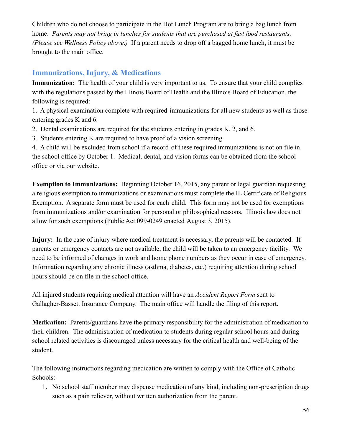Children who do not choose to participate in the Hot Lunch Program are to bring a bag lunch from home. *Parents may not bring in lunches for students that are purchased at fast food restaurants. (Please see Wellness Policy above.)* If a parent needs to drop off a bagged home lunch, it must be brought to the main office.

# **Immunizations, Injury, & Medications**

**Immunization:** The health of your child is very important to us. To ensure that your child complies with the regulations passed by the Illinois Board of Health and the Illinois Board of Education, the following is required:

1. A physical examination complete with required immunizations for all new students as well as those entering grades K and 6.

- 2. Dental examinations are required for the students entering in grades K, 2, and 6.
- 3. Students entering K are required to have proof of a vision screening.

4. A child will be excluded from school if a record of these required immunizations is not on file in the school office by October 1. Medical, dental, and vision forms can be obtained from the school office or via our website.

**Exemption to Immunizations:** Beginning October 16, 2015, any parent or legal guardian requesting a religious exemption to immunizations or examinations must complete the IL Certificate of Religious Exemption. A separate form must be used for each child. This form may not be used for exemptions from immunizations and/or examination for personal or philosophical reasons. Illinois law does not allow for such exemptions (Public Act 099-0249 enacted August 3, 2015).

**Injury:** In the case of injury where medical treatment is necessary, the parents will be contacted. If parents or emergency contacts are not available, the child will be taken to an emergency facility. We need to be informed of changes in work and home phone numbers as they occur in case of emergency. Information regarding any chronic illness (asthma, diabetes, etc.) requiring attention during school hours should be on file in the school office.

All injured students requiring medical attention will have an *Accident Report Form* sent to Gallagher-Bassett Insurance Company. The main office will handle the filing of this report.

**Medication:** Parents/guardians have the primary responsibility for the administration of medication to their children. The administration of medication to students during regular school hours and during school related activities is discouraged unless necessary for the critical health and well-being of the student.

The following instructions regarding medication are written to comply with the Office of Catholic Schools:

1. No school staff member may dispense medication of any kind, including non-prescription drugs such as a pain reliever, without written authorization from the parent.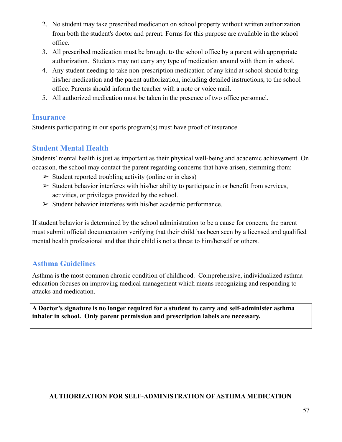- 2. No student may take prescribed medication on school property without written authorization from both the student's doctor and parent. Forms for this purpose are available in the school office.
- 3. All prescribed medication must be brought to the school office by a parent with appropriate authorization. Students may not carry any type of medication around with them in school.
- 4. Any student needing to take non-prescription medication of any kind at school should bring his/her medication and the parent authorization, including detailed instructions, to the school office. Parents should inform the teacher with a note or voice mail.
- 5. All authorized medication must be taken in the presence of two office personnel.

# **Insurance**

Students participating in our sports program(s) must have proof of insurance.

# **Student Mental Health**

Students' mental health is just as important as their physical well-being and academic achievement. On occasion, the school may contact the parent regarding concerns that have arisen, stemming from:

- $\triangleright$  Student reported troubling activity (online or in class)
- $\triangleright$  Student behavior interferes with his/her ability to participate in or benefit from services, activities, or privileges provided by the school.
- $\triangleright$  Student behavior interferes with his/her academic performance.

If student behavior is determined by the school administration to be a cause for concern, the parent must submit official documentation verifying that their child has been seen by a licensed and qualified mental health professional and that their child is not a threat to him/herself or others.

# **Asthma Guidelines**

Asthma is the most common chronic condition of childhood. Comprehensive, individualized asthma education focuses on improving medical management which means recognizing and responding to attacks and medication.

**A Doctor's signature is no longer required for a student to carry and self-administer asthma inhaler in school. Only parent permission and prescription labels are necessary.**

### **AUTHORIZATION FOR SELF-ADMINISTRATION OF ASTHMA MEDICATION**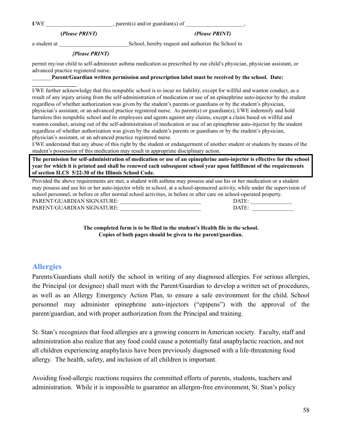**I/WE** guardian(s) of  $\Box$ 

**(***Please PRINT) (Please PRINT)*

a student at  $\Box$  School, hereby request and authorize the School to

#### *{Please PRINT)*

permit my/our child to self-administer asthma medication as prescribed by our child's physician, physician assistant, or advanced practice registered nurse.

#### \_\_\_\_\_\_\_**Parent/Guardian written permission and prescription label must be received by the school. Date:**

I/WE further acknowledge that this nonpublic school is to incur no liability, except for willful and wanton conduct, as a result of any injury arising from the self-administration of medication or use of an epinephrine auto-injector by the student regardless of whether authorization was given by the student's parents or guardians or by the student's physician, physician's assistant, or an advanced practice registered nurse. As parent(s) or guardian(s), I/WE indemnify and hold harmless this nonpublic school and its employees and agents against any claims, except a claim based on willful and wanton conduct, arising out of the self-administration of medication or use of an epinephrine auto-injector by the student regardless of whether authorization was given by the student's parents or guardians or by the student's physician, physician's assistant, or an advanced practice registered nurse.

I/WE understand that any abuse of this right by the student or endangerment of another student or students by means of the student's possession of this medication may result in appropriate disciplinary action.

The permission for self-administration of medication or use of an epinephrine auto-injector is effective for the school year for which it is printed and shall be renewed each subsequent school year upon fulfillment of the requirements **of section ILCS 5/22-30 of the Illinois School Code.**

Provided the above requirements are met, a student with asthma may possess and use his or her medication or a student may possess and use his or her auto-injector while in school, at a school-sponsored activity, while under the supervision of school personnel, or before or after normal school activities, in before or after care on school-operated property. PARENT/GUARDIAN SIGNATURE:  $\begin{array}{ccc} \text{DATE:} \end{array}$ PARENT/GUARDIAN SIGNATURE: \_\_\_\_\_\_\_\_\_\_\_\_\_\_\_\_\_\_\_\_\_\_\_\_\_\_\_\_\_ DATE: \_\_\_\_\_\_\_\_\_\_\_\_\_\_\_

> **The completed form is to be filed in the student's Health file in the school. Copies of both pages should be given to the parent/guardian.**

### **Allergies**

Parents/Guardians shall notify the school in writing of any diagnosed allergies. For serious allergies, the Principal (or designee) shall meet with the Parent/Guardian to develop a written set of procedures, as well as an Allergy Emergency Action Plan, to ensure a safe environment for the child. School personnel may administer epinephrine auto-injectors ("epipens") with the approval of the parent/guardian, and with proper authorization from the Principal and training.

St. Stan's recognizes that food allergies are a growing concern in American society. Faculty, staff and administration also realize that any food could cause a potentially fatal anaphylactic reaction, and not all children experiencing anaphylaxis have been previously diagnosed with a life-threatening food allergy. The health, safety, and inclusion of all children is important.

Avoiding food-allergic reactions requires the committed efforts of parents, students, teachers and administration. While it is impossible to guarantee an allergen-free environment, St. Stan's policy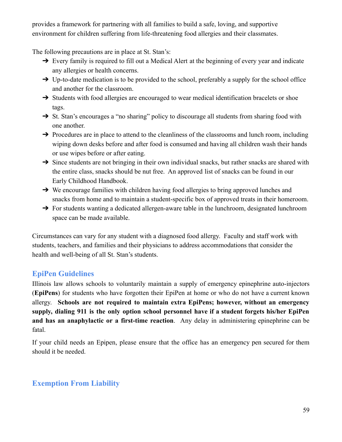provides a framework for partnering with all families to build a safe, loving, and supportive environment for children suffering from life-threatening food allergies and their classmates.

The following precautions are in place at St. Stan's:

- → Every family is required to fill out a Medical Alert at the beginning of every year and indicate any allergies or health concerns.
- $\rightarrow$  Up-to-date medication is to be provided to the school, preferably a supply for the school office and another for the classroom.
- → Students with food allergies are encouraged to wear medical identification bracelets or shoe tags.
- → St. Stan's encourages a "no sharing" policy to discourage all students from sharing food with one another.
- → Procedures are in place to attend to the cleanliness of the classrooms and lunch room, including wiping down desks before and after food is consumed and having all children wash their hands or use wipes before or after eating.
- $\rightarrow$  Since students are not bringing in their own individual snacks, but rather snacks are shared with the entire class, snacks should be nut free. An approved list of snacks can be found in our Early Childhood Handbook.
- → We encourage families with children having food allergies to bring approved lunches and snacks from home and to maintain a student-specific box of approved treats in their homeroom.
- → For students wanting a dedicated allergen-aware table in the lunchroom, designated lunchroom space can be made available.

Circumstances can vary for any student with a diagnosed food allergy. Faculty and staff work with students, teachers, and families and their physicians to address accommodations that consider the health and well-being of all St. Stan's students.

# **EpiPen Guidelines**

Illinois law allows schools to voluntarily maintain a supply of emergency epinephrine auto-injectors (**EpiPens**) for students who have forgotten their EpiPen at home or who do not have a current known allergy. **Schools are not required to maintain extra EpiPens; however, without an emergency supply, dialing 911 is the only option school personnel have if a student forgets his/her EpiPen and has an anaphylactic or a first-time reaction**. Any delay in administering epinephrine can be fatal.

If your child needs an Epipen, please ensure that the office has an emergency pen secured for them should it be needed.

# **Exemption From Liability**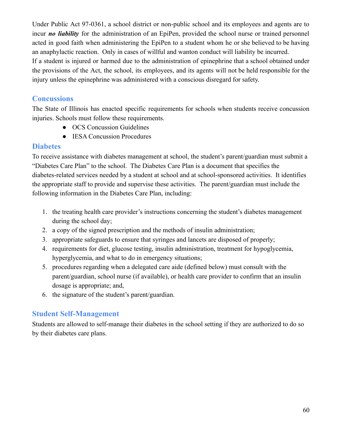Under Public Act 97-0361, a school district or non-public school and its employees and agents are to incur *no liability* for the administration of an EpiPen, provided the school nurse or trained personnel acted in good faith when administering the EpiPen to a student whom he or she believed to be having an anaphylactic reaction. Only in cases of willful and wanton conduct will liability be incurred. If a student is injured or harmed due to the administration of epinephrine that a school obtained under

the provisions of the Act, the school, its employees, and its agents will not be held responsible for the injury unless the epinephrine was administered with a conscious disregard for safety.

### **Concussions**

The State of Illinois has enacted specific requirements for schools when students receive concussion injuries. Schools must follow these requirements.

- OCS Concussion Guidelines
- **IESA Concussion Procedures**

### **Diabetes**

To receive assistance with diabetes management at school, the student's parent/guardian must submit a "Diabetes Care Plan" to the school. The Diabetes Care Plan is a document that specifies the diabetes-related services needed by a student at school and at school-sponsored activities. It identifies the appropriate staff to provide and supervise these activities. The parent/guardian must include the following information in the Diabetes Care Plan, including:

- 1. the treating health care provider's instructions concerning the student's diabetes management during the school day;
- 2. a copy of the signed prescription and the methods of insulin administration;
- 3. appropriate safeguards to ensure that syringes and lancets are disposed of properly;
- 4. requirements for diet, glucose testing, insulin administration, treatment for hypoglycemia, hyperglycemia, and what to do in emergency situations;
- 5. procedures regarding when a delegated care aide (defined below) must consult with the parent/guardian, school nurse (if available), or health care provider to confirm that an insulin dosage is appropriate; and,
- 6. the signature of the student's parent/guardian.

# **Student Self-Management**

Students are allowed to self-manage their diabetes in the school setting if they are authorized to do so by their diabetes care plans.